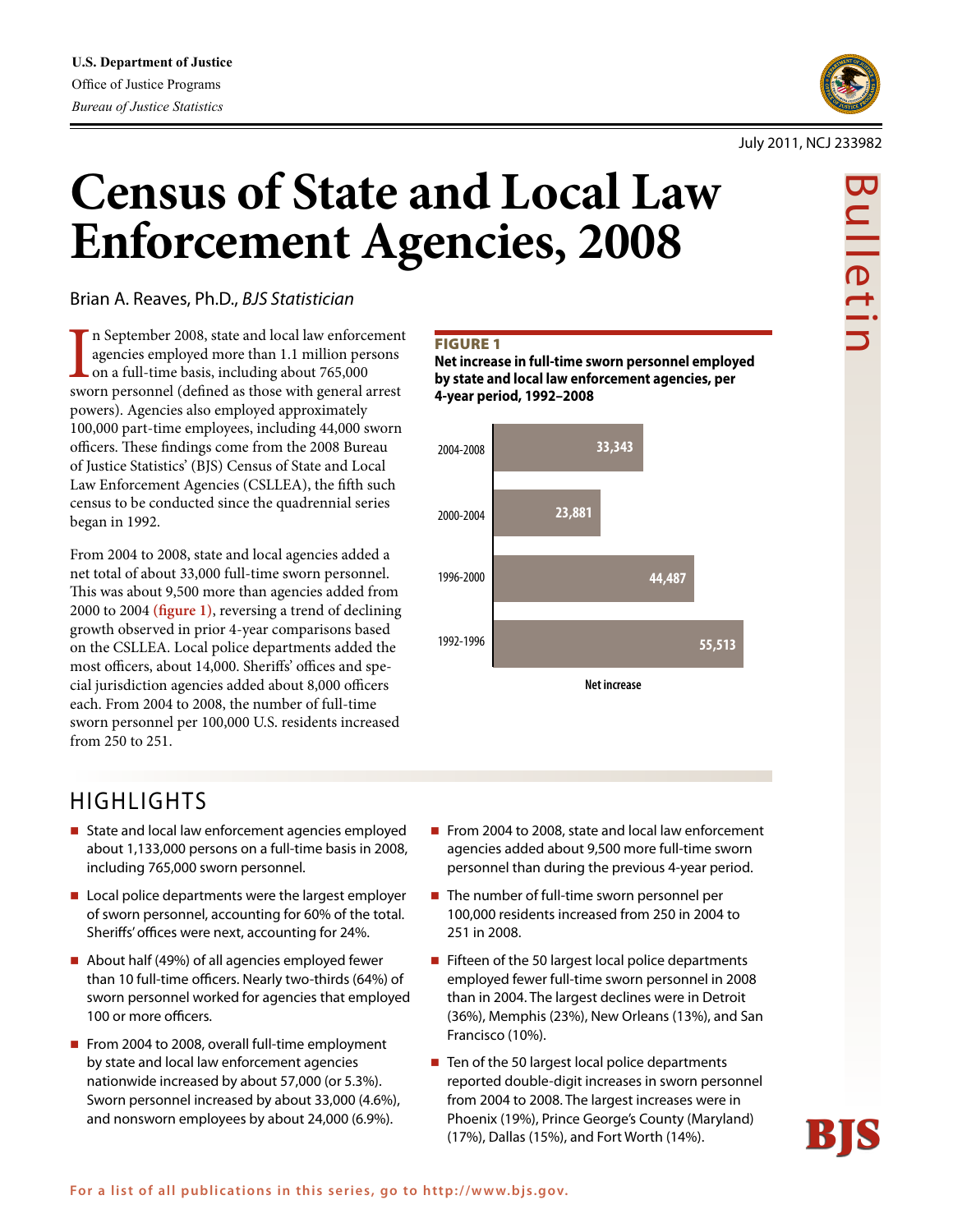

Bulletir

#### July 2011, NCJ 233982

# **Census of State and Local Law Enforcement Agencies, 2008**

Brian A. Reaves, Ph.D., *BJS Statistician*

In September 2008, state and local law enforcement agencies employed more than 1.1 million persons on a full-time basis, including about 765,000 sworn personnel (defined as those with general arrest n September 2008, state and local law enforcement agencies employed more than 1.1 million persons on a full-time basis, including about 765,000 powers). Agencies also employed approximately 100,000 part-time employees, including 44,000 sworn officers. These findings come from the 2008 Bureau of Justice Statistics' (BJS) Census of State and Local Law Enforcement Agencies (CSLLEA), the fifth such census to be conducted since the quadrennial series began in 1992.

From 2004 to 2008, state and local agencies added a net total of about 33,000 full-time sworn personnel. This was about 9,500 more than agencies added from 2000 to 2004 **(figure 1)**, reversing a trend of declining growth observed in prior 4-year comparisons based on the CSLLEA. Local police departments added the most officers, about 14,000. Sheriffs' offices and special jurisdiction agencies added about 8,000 officers each. From 2004 to 2008, the number of full-time sworn personnel per 100,000 U.S. residents increased from 250 to 251.

# HIGHLIGHTS

- State and local law enforcement agencies employed about 1,133,000 persons on a full-time basis in 2008, including 765,000 sworn personnel.
- Local police departments were the largest employer of sworn personnel, accounting for 60% of the total. Sheriffs' offices were next, accounting for 24%.
- About half (49%) of all agencies employed fewer than 10 full-time officers. Nearly two-thirds (64%) of sworn personnel worked for agencies that employed 100 or more officers.
- From 2004 to 2008, overall full-time employment by state and local law enforcement agencies nationwide increased by about 57,000 (or 5.3%). Sworn personnel increased by about 33,000 (4.6%), and nonsworn employees by about 24,000 (6.9%).

#### **FIGURE 1**

**Net increase in full-time sworn personnel employed by state and local law enforcement agencies, per 4-year period, 1992–2008**



- From 2004 to 2008, state and local law enforcement agencies added about 9,500 more full-time sworn personnel than during the previous 4-year period.
- $\blacksquare$  The number of full-time sworn personnel per 100,000 residents increased from 250 in 2004 to 251 in 2008.
- Fifteen of the 50 largest local police departments employed fewer full-time sworn personnel in 2008 than in 2004. The largest declines were in Detroit (36%), Memphis (23%), New Orleans (13%), and San Francisco (10%).
- $\blacksquare$  Ten of the 50 largest local police departments reported double-digit increases in sworn personnel from 2004 to 2008. The largest increases were in Phoenix (19%), Prince George's County (Maryland) (17%), Dallas (15%), and Fort Worth (14%).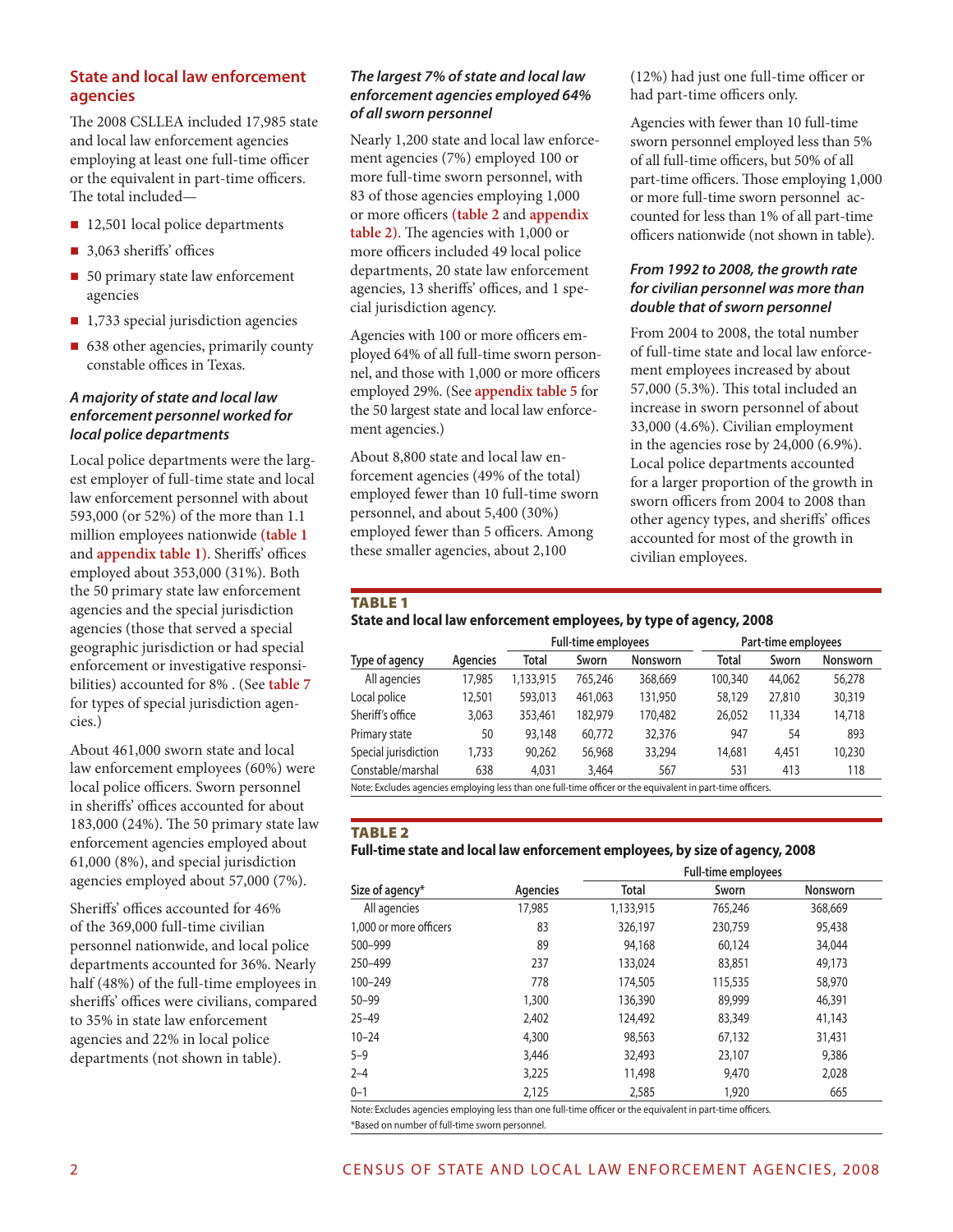#### **State and local law enforcement agencies**

The 2008 CSLLEA included 17,985 state and local law enforcement agencies employing at least one full-time officer or the equivalent in part-time officers. The total included—

- 12,501 local police departments
- 3,063 sheriffs' offices
- 50 primary state law enforcement agencies
- $\blacksquare$  1,733 special jurisdiction agencies
- 638 other agencies, primarily county constable offices in Texas.

#### *A majority of state and local law enforcement personnel worked for local police departments*

Local police departments were the largest employer of full-time state and local law enforcement personnel with about 593,000 (or 52%) of the more than 1.1 million employees nationwide **(table 1**  and **appendix table 1)**. Sheriffs' offices employed about 353,000 (31%). Both the 50 primary state law enforcement agencies and the special jurisdiction agencies (those that served a special geographic jurisdiction or had special enforcement or investigative responsibilities) accounted for 8% . (See **table 7** for types of special jurisdiction agencies.)

About 461,000 sworn state and local law enforcement employees (60%) were local police officers. Sworn personnel in sheriffs' offices accounted for about 183,000 (24%). The 50 primary state law enforcement agencies employed about 61,000 (8%), and special jurisdiction agencies employed about 57,000 (7%).

Sheriffs' offices accounted for 46% of the 369,000 full-time civilian personnel nationwide, and local police departments accounted for 36%. Nearly half (48%) of the full-time employees in sheriffs' offices were civilians, compared to 35% in state law enforcement agencies and 22% in local police departments (not shown in table).

#### *The largest 7% of state and local law enforcement agencies employed 64% of all sworn personnel*

Nearly 1,200 state and local law enforcement agencies (7%) employed 100 or more full-time sworn personnel, with 83 of those agencies employing 1,000 or more officers **(table 2** and **appendix table 2)**. The agencies with 1,000 or more officers included 49 local police departments, 20 state law enforcement agencies, 13 sheriffs' offices, and 1 special jurisdiction agency.

Agencies with 100 or more officers employed 64% of all full-time sworn personnel, and those with 1,000 or more officers employed 29%. (See **appendix table 5** for the 50 largest state and local law enforcement agencies.)

About 8,800 state and local law enforcement agencies (49% of the total) employed fewer than 10 full-time sworn personnel, and about 5,400 (30%) employed fewer than 5 officers. Among these smaller agencies, about 2,100

(12%) had just one full-time officer or had part-time officers only.

Agencies with fewer than 10 full-time sworn personnel employed less than 5% of all full-time officers, but 50% of all part-time officers. Those employing 1,000 or more full-time sworn personnel accounted for less than 1% of all part-time officers nationwide (not shown in table).

#### *From 1992 to 2008, the growth rate for civilian personnel was more than double that of sworn personnel*

From 2004 to 2008, the total number of full-time state and local law enforcement employees increased by about 57,000 (5.3%). This total included an increase in sworn personnel of about 33,000 (4.6%). Civilian employment in the agencies rose by 24,000 (6.9%). Local police departments accounted for a larger proportion of the growth in sworn officers from 2004 to 2008 than other agency types, and sheriffs' offices accounted for most of the growth in civilian employees.

#### **TABLE 1**

#### **State and local law enforcement employees, by type of agency, 2008**

|                      |          | <b>Full-time employees</b> |         |                 | Part-time employees |        |                 |
|----------------------|----------|----------------------------|---------|-----------------|---------------------|--------|-----------------|
| Type of agency       | Agencies | Total                      | Sworn   | <b>Nonsworn</b> | <b>Total</b>        | Sworn  | <b>Nonsworn</b> |
| All agencies         | 17,985   | 1,133,915                  | 765,246 | 368,669         | 100,340             | 44,062 | 56,278          |
| Local police         | 12,501   | 593,013                    | 461.063 | 131,950         | 58,129              | 27,810 | 30,319          |
| Sheriff's office     | 3,063    | 353,461                    | 182,979 | 170,482         | 26,052              | 11,334 | 14,718          |
| Primary state        | 50       | 93,148                     | 60.772  | 32,376          | 947                 | 54     | 893             |
| Special jurisdiction | 1,733    | 90.262                     | 56,968  | 33,294          | 14.681              | 4,451  | 10,230          |
| Constable/marshal    | 638      | 4,031                      | 3,464   | 567             | 531                 | 413    | 118             |

Note: Excludes agencies employing less than one full-time officer or the equivalent in part-time officers.

#### Table 2

#### **Full-time state and local law enforcement employees, by size of agency, 2008**

|                        |          |              | <b>Full-time employees</b> |                 |
|------------------------|----------|--------------|----------------------------|-----------------|
| Size of agency*        | Agencies | <b>Total</b> | Sworn                      | <b>Nonsworn</b> |
| All agencies           | 17,985   | 1,133,915    | 765,246                    | 368,669         |
| 1.000 or more officers | 83       | 326,197      | 230,759                    | 95,438          |
| 500-999                | 89       | 94,168       | 60,124                     | 34,044          |
| 250-499                | 237      | 133,024      | 83,851                     | 49,173          |
| 100-249                | 778      | 174,505      | 115,535                    | 58,970          |
| $50 - 99$              | 1,300    | 136,390      | 89,999                     | 46,391          |
| $25 - 49$              | 2,402    | 124,492      | 83,349                     | 41,143          |
| $10 - 24$              | 4,300    | 98,563       | 67,132                     | 31,431          |
| $5 - 9$                | 3,446    | 32,493       | 23,107                     | 9,386           |
| $2 - 4$                | 3,225    | 11,498       | 9,470                      | 2,028           |
| $0 - 1$                | 2,125    | 2,585        | 1,920                      | 665             |

Note: Excludes agencies employing less than one full-time officer or the equivalent in part-time officers. \*Based on number of full-time sworn personnel.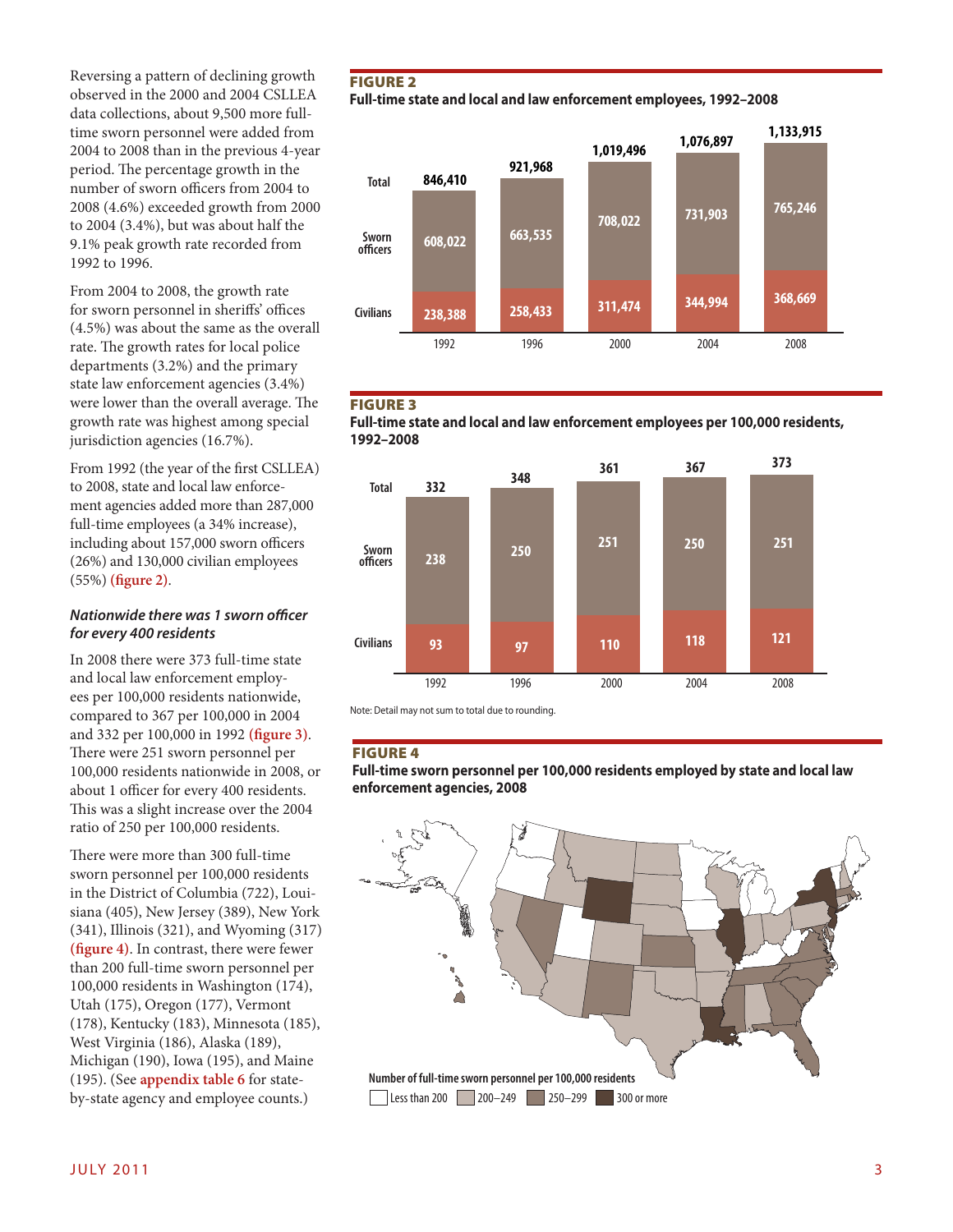Reversing a pattern of declining growth observed in the 2000 and 2004 CSLLEA data collections, about 9,500 more fulltime sworn personnel were added from 2004 to 2008 than in the previous 4-year period. The percentage growth in the number of sworn officers from 2004 to 2008 (4.6%) exceeded growth from 2000 to 2004 (3.4%), but was about half the 9.1% peak growth rate recorded from 1992 to 1996.

From 2004 to 2008, the growth rate for sworn personnel in sheriffs' offices (4.5%) was about the same as the overall rate. The growth rates for local police departments (3.2%) and the primary state law enforcement agencies (3.4%) were lower than the overall average. The growth rate was highest among special jurisdiction agencies (16.7%).

From 1992 (the year of the first CSLLEA) to 2008, state and local law enforcement agencies added more than 287,000 full-time employees (a 34% increase), including about 157,000 sworn officers (26%) and 130,000 civilian employees (55%) **(figure 2)**.

#### *Nationwide there was 1 sworn officer for every 400 residents*

In 2008 there were 373 full-time state and local law enforcement employees per 100,000 residents nationwide, compared to 367 per 100,000 in 2004 and 332 per 100,000 in 1992 **(figure 3)**. There were 251 sworn personnel per 100,000 residents nationwide in 2008, or about 1 officer for every 400 residents. This was a slight increase over the 2004 ratio of 250 per 100,000 residents.

There were more than 300 full-time sworn personnel per 100,000 residents in the District of Columbia (722), Louisiana (405), New Jersey (389), New York (341), Illinois (321), and Wyoming (317) **(figure 4)**. In contrast, there were fewer than 200 full-time sworn personnel per 100,000 residents in Washington (174), Utah (175), Oregon (177), Vermont (178), Kentucky (183), Minnesota (185), West Virginia (186), Alaska (189), Michigan (190), Iowa (195), and Maine (195). (See **appendix table 6** for stateby-state agency and employee counts.)

#### **FIGURE 2**

**Full-time state and local and law enforcement employees, 1992–2008**



#### **FIGURE 3**





Note: Detail may not sum to total due to rounding.

#### Figure 4

**Full-time sworn personnel per 100,000 residents employed by state and local law enforcement agencies, 2008**

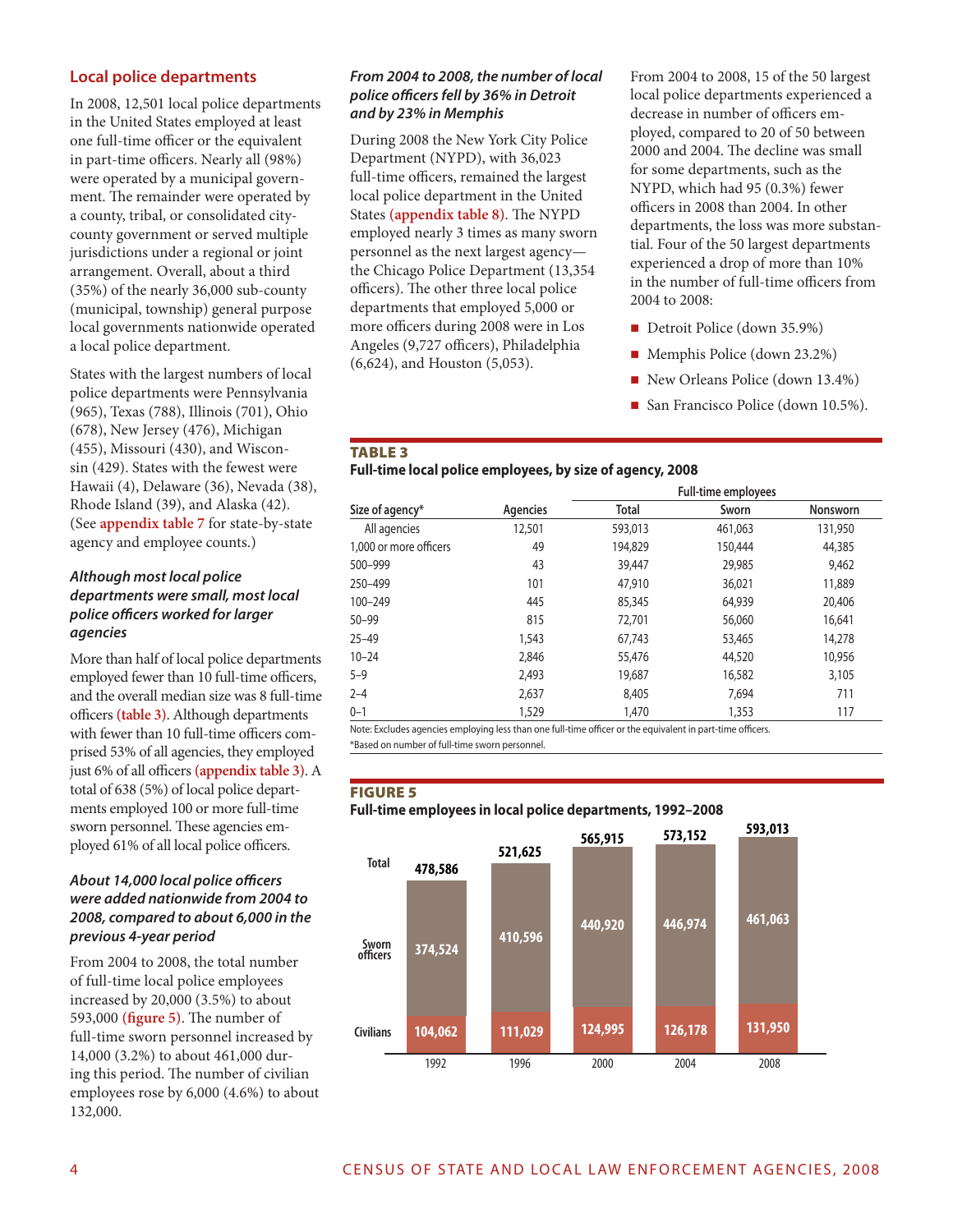#### **Local police departments**

In 2008, 12,501 local police departments in the United States employed at least one full-time officer or the equivalent in part-time officers. Nearly all (98%) were operated by a municipal government. The remainder were operated by a county, tribal, or consolidated citycounty government or served multiple jurisdictions under a regional or joint arrangement. Overall, about a third (35%) of the nearly 36,000 sub-county (municipal, township) general purpose local governments nationwide operated a local police department.

States with the largest numbers of local police departments were Pennsylvania (965), Texas (788), Illinois (701), Ohio (678), New Jersey (476), Michigan (455), Missouri (430), and Wisconsin (429). States with the fewest were Hawaii (4), Delaware (36), Nevada (38), Rhode Island (39), and Alaska (42). (See **appendix table 7** for state-by-state agency and employee counts.)

#### *Although most local police departments were small, most local police officers worked for larger agencies*

More than half of local police departments employed fewer than 10 full-time officers, and the overall median size was 8 full-time officers **(table 3)**. Although departments with fewer than 10 full-time officers comprised 53% of all agencies, they employed just 6% of all officers **(appendix table 3)**. A total of 638 (5%) of local police departments employed 100 or more full-time sworn personnel. These agencies employed 61% of all local police officers.

#### *About 14,000 local police officers were added nationwide from 2004 to 2008, compared to about 6,000 in the previous 4-year period*

From 2004 to 2008, the total number of full-time local police employees increased by 20,000 (3.5%) to about 593,000 **(figure 5)**. The number of full-time sworn personnel increased by 14,000 (3.2%) to about 461,000 during this period. The number of civilian employees rose by 6,000 (4.6%) to about 132,000.

#### *From 2004 to 2008, the number of local police officers fell by 36% in Detroit and by 23% in Memphis*

During 2008 the New York City Police Department (NYPD), with 36,023 full-time officers, remained the largest local police department in the United States **(appendix table 8)**. The NYPD employed nearly 3 times as many sworn personnel as the next largest agency the Chicago Police Department (13,354 officers). The other three local police departments that employed 5,000 or more officers during 2008 were in Los Angeles (9,727 officers), Philadelphia (6,624), and Houston (5,053).

From 2004 to 2008, 15 of the 50 largest local police departments experienced a decrease in number of officers employed, compared to 20 of 50 between 2000 and 2004. The decline was small for some departments, such as the NYPD, which had 95 (0.3%) fewer officers in 2008 than 2004. In other departments, the loss was more substantial. Four of the 50 largest departments experienced a drop of more than 10% in the number of full-time officers from 2004 to 2008:

- Detroit Police (down 35.9%)
- Memphis Police (down 23.2%)
- New Orleans Police (down 13.4%)
- San Francisco Police (down 10.5%).

#### Table 3

#### **Full-time local police employees, by size of agency, 2008**

|                        |          |              | <b>Full-time employees</b> |          |
|------------------------|----------|--------------|----------------------------|----------|
| Size of agency*        | Agencies | <b>Total</b> | Sworn                      | Nonsworn |
| All agencies           | 12,501   | 593,013      | 461,063                    | 131,950  |
| 1.000 or more officers | 49       | 194,829      | 150,444                    | 44,385   |
| 500-999                | 43       | 39,447       | 29,985                     | 9,462    |
| 250-499                | 101      | 47,910       | 36,021                     | 11,889   |
| 100-249                | 445      | 85,345       | 64,939                     | 20,406   |
| $50 - 99$              | 815      | 72,701       | 56,060                     | 16,641   |
| $25 - 49$              | 1,543    | 67.743       | 53,465                     | 14,278   |
| $10 - 24$              | 2,846    | 55,476       | 44,520                     | 10,956   |
| $5 - 9$                | 2,493    | 19,687       | 16,582                     | 3,105    |
| $2 - 4$                | 2,637    | 8,405        | 7,694                      | 711      |
| $0 - 1$                | 1,529    | 1,470        | 1,353                      | 117      |

Note: Excludes agencies employing less than one full-time officer or the equivalent in part-time officers.

\*Based on number of full-time sworn personnel.

#### **FIGURE 5**

#### **Full-time employees in local police departments, 1992–2008**

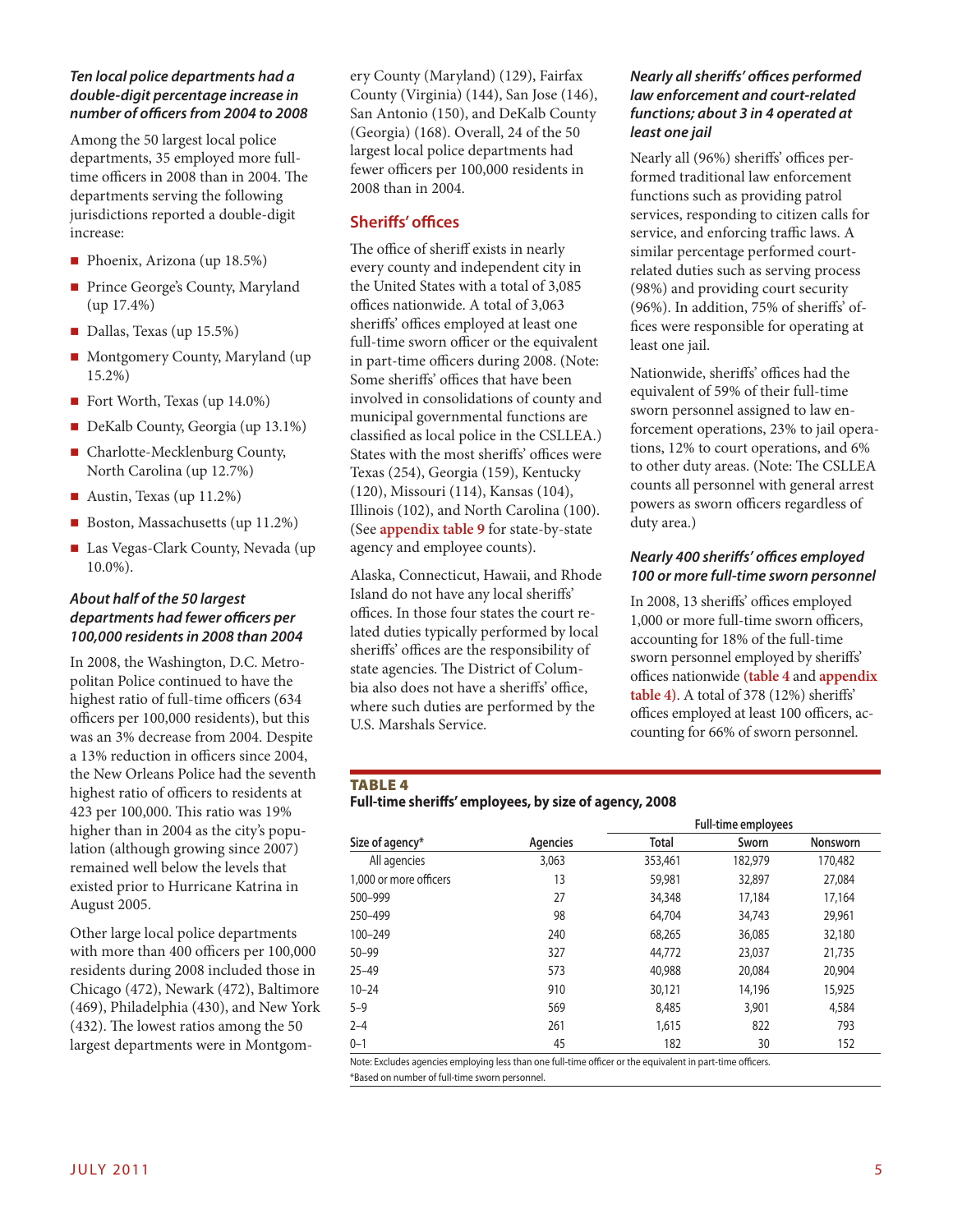#### *Ten local police departments had a double-digit percentage increase in number of officers from 2004 to 2008*

Among the 50 largest local police departments, 35 employed more fulltime officers in 2008 than in 2004. The departments serving the following jurisdictions reported a double-digit increase:

- Phoenix, Arizona (up  $18.5\%$ )
- Prince George's County, Maryland (up 17.4%)
- Dallas, Texas (up 15.5%)
- Montgomery County, Maryland (up 15.2%)
- Fort Worth, Texas (up 14.0%)
- DeKalb County, Georgia (up 13.1%)
- Charlotte-Mecklenburg County, North Carolina (up 12.7%)
- Austin, Texas (up 11.2%)
- Boston, Massachusetts (up 11.2%)
- Las Vegas-Clark County, Nevada (up 10.0%).

#### *About half of the 50 largest departments had fewer officers per 100,000 residents in 2008 than 2004*

In 2008, the Washington, D.C. Metropolitan Police continued to have the highest ratio of full-time officers (634 officers per 100,000 residents), but this was an 3% decrease from 2004. Despite a 13% reduction in officers since 2004, the New Orleans Police had the seventh highest ratio of officers to residents at 423 per 100,000. This ratio was 19% higher than in 2004 as the city's population (although growing since 2007) remained well below the levels that existed prior to Hurricane Katrina in August 2005.

Other large local police departments with more than 400 officers per 100,000 residents during 2008 included those in Chicago (472), Newark (472), Baltimore (469), Philadelphia (430), and New York (432). The lowest ratios among the 50 largest departments were in Montgomery County (Maryland) (129), Fairfax County (Virginia) (144), San Jose (146), San Antonio (150), and DeKalb County (Georgia) (168). Overall, 24 of the 50 largest local police departments had fewer officers per 100,000 residents in 2008 than in 2004.

#### **Sheriffs' offices**

The office of sheriff exists in nearly every county and independent city in the United States with a total of 3,085 offices nationwide. A total of 3,063 sheriffs' offices employed at least one full-time sworn officer or the equivalent in part-time officers during 2008. (Note: Some sheriffs' offices that have been involved in consolidations of county and municipal governmental functions are classified as local police in the CSLLEA.) States with the most sheriffs' offices were Texas (254), Georgia (159), Kentucky (120), Missouri (114), Kansas (104), Illinois (102), and North Carolina (100). (See **appendix table 9** for state-by-state agency and employee counts).

Alaska, Connecticut, Hawaii, and Rhode Island do not have any local sheriffs' offices. In those four states the court related duties typically performed by local sheriffs' offices are the responsibility of state agencies. The District of Columbia also does not have a sheriffs' office, where such duties are performed by the U.S. Marshals Service.

#### *Nearly all sheriffs' offices performed law enforcement and court-related functions; about 3 in 4 operated at least one jail*

Nearly all (96%) sheriffs' offices performed traditional law enforcement functions such as providing patrol services, responding to citizen calls for service, and enforcing traffic laws. A similar percentage performed courtrelated duties such as serving process (98%) and providing court security (96%). In addition, 75% of sheriffs' offices were responsible for operating at least one jail.

Nationwide, sheriffs' offices had the equivalent of 59% of their full-time sworn personnel assigned to law enforcement operations, 23% to jail operations, 12% to court operations, and 6% to other duty areas. (Note: The CSLLEA counts all personnel with general arrest powers as sworn officers regardless of duty area.)

#### *Nearly 400 sheriffs' offices employed 100 or more full-time sworn personnel*

In 2008, 13 sheriffs' offices employed 1,000 or more full-time sworn officers, accounting for 18% of the full-time sworn personnel employed by sheriffs' offices nationwide **(table 4** and **appendix table 4)**. A total of 378 (12%) sheriffs' offices employed at least 100 officers, accounting for 66% of sworn personnel.

#### **TABLE 4**

#### **Full-time sheriffs' employees, by size of agency, 2008**

|                        |                 | <b>Full-time employees</b> |         |                 |
|------------------------|-----------------|----------------------------|---------|-----------------|
| Size of agency*        | <b>Agencies</b> | <b>Total</b>               | Sworn   | <b>Nonsworn</b> |
| All agencies           | 3,063           | 353,461                    | 182,979 | 170,482         |
| 1.000 or more officers | 13              | 59,981                     | 32,897  | 27,084          |
| 500-999                | 27              | 34,348                     | 17,184  | 17,164          |
| 250-499                | 98              | 64.704                     | 34,743  | 29,961          |
| 100-249                | 240             | 68,265                     | 36,085  | 32,180          |
| $50 - 99$              | 327             | 44.772                     | 23,037  | 21,735          |
| $25 - 49$              | 573             | 40,988                     | 20,084  | 20,904          |
| $10 - 24$              | 910             | 30,121                     | 14,196  | 15,925          |
| $5 - 9$                | 569             | 8,485                      | 3,901   | 4,584           |
| $2 - 4$                | 261             | 1,615                      | 822     | 793             |
| $0 - 1$                | 45              | 182                        | 30      | 152             |

Note: Excludes agencies employing less than one full-time officer or the equivalent in part-time officers. \*Based on number of full-time sworn personnel.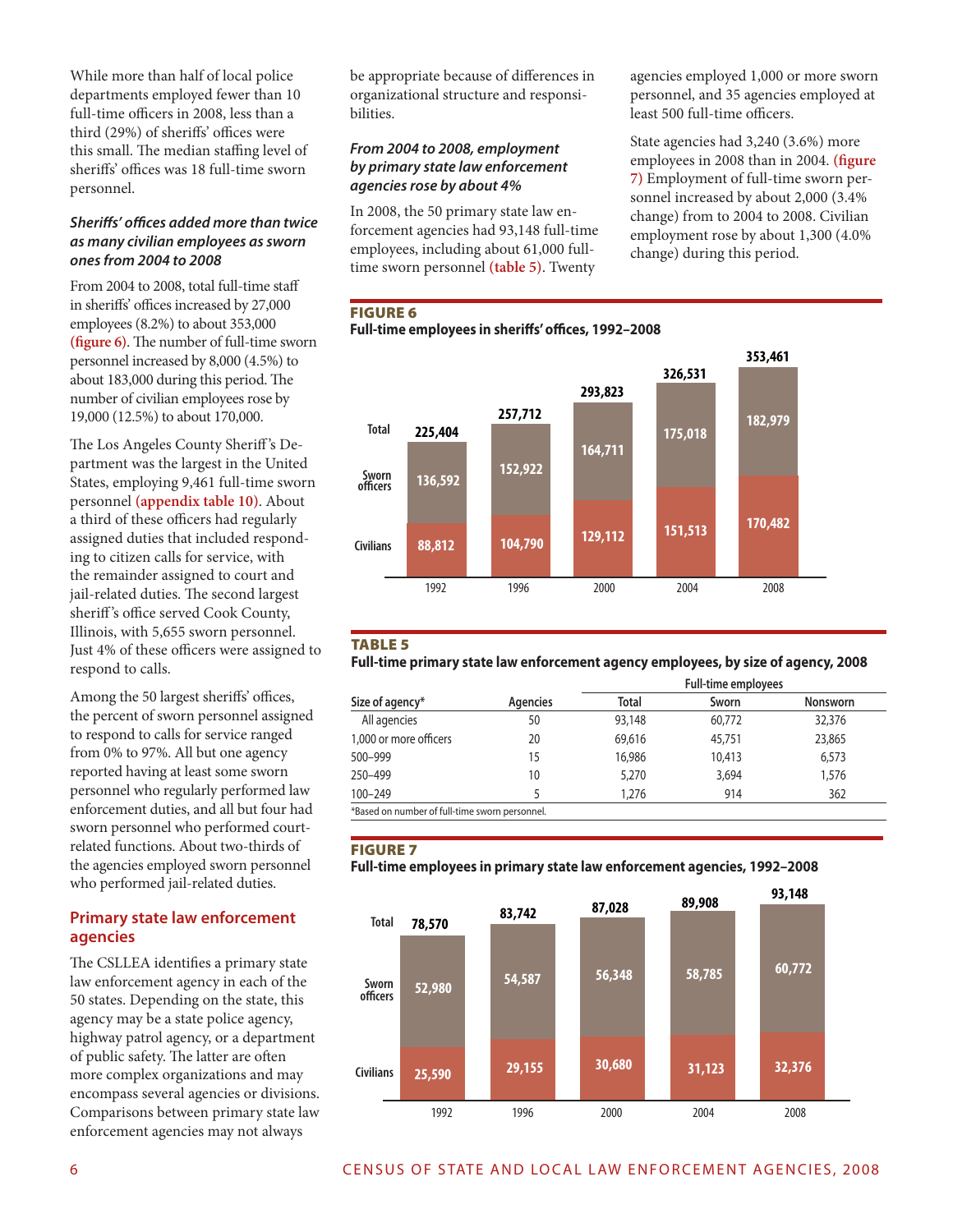While more than half of local police departments employed fewer than 10 full-time officers in 2008, less than a third (29%) of sheriffs' offices were this small. The median staffing level of sheriffs' offices was 18 full-time sworn personnel.

#### *Sheriffs' offices added more than twice as many civilian employees as sworn ones from 2004 to 2008*

From 2004 to 2008, total full-time staff in sheriffs' offices increased by 27,000 employees (8.2%) to about 353,000 **(figure 6)**. The number of full-time sworn personnel increased by 8,000 (4.5%) to about 183,000 during this period. The number of civilian employees rose by 19,000 (12.5%) to about 170,000.

The Los Angeles County Sheriff 's Department was the largest in the United States, employing 9,461 full-time sworn personnel **(appendix table 10)**. About a third of these officers had regularly assigned duties that included responding to citizen calls for service, with the remainder assigned to court and jail-related duties. The second largest sheriff 's office served Cook County, Illinois, with 5,655 sworn personnel. Just 4% of these officers were assigned to respond to calls.

Among the 50 largest sheriffs' offices, the percent of sworn personnel assigned to respond to calls for service ranged from 0% to 97%. All but one agency reported having at least some sworn personnel who regularly performed law enforcement duties, and all but four had sworn personnel who performed courtrelated functions. About two-thirds of the agencies employed sworn personnel who performed jail-related duties.

#### **Primary state law enforcement agencies**

The CSLLEA identifies a primary state law enforcement agency in each of the 50 states. Depending on the state, this agency may be a state police agency, highway patrol agency, or a department of public safety. The latter are often more complex organizations and may encompass several agencies or divisions. Comparisons between primary state law enforcement agencies may not always

be appropriate because of differences in organizational structure and responsibilities.

#### *From 2004 to 2008, employment by primary state law enforcement agencies rose by about 4%*

In 2008, the 50 primary state law enforcement agencies had 93,148 full-time employees, including about 61,000 fulltime sworn personnel **(table 5)**. Twenty

agencies employed 1,000 or more sworn personnel, and 35 agencies employed at least 500 full-time officers.

State agencies had 3,240 (3.6%) more employees in 2008 than in 2004. **(figure 7)** Employment of full-time sworn personnel increased by about 2,000 (3.4% change) from to 2004 to 2008. Civilian employment rose by about 1,300 (4.0% change) during this period.

#### Figure 6

**Full-time employees in sheriffs' offices, 1992–2008**



#### Table 5

**Full-time primary state law enforcement agency employees, by size of agency, 2008**

|                                                |          | <b>Full-time employees</b> |        |                 |  |
|------------------------------------------------|----------|----------------------------|--------|-----------------|--|
| Size of agency*                                | Agencies | Total                      | Sworn  | <b>Nonsworn</b> |  |
| All agencies                                   | 50       | 93,148                     | 60,772 | 32,376          |  |
| 1,000 or more officers                         | 20       | 69,616                     | 45,751 | 23,865          |  |
| 500-999                                        | 15       | 16,986                     | 10,413 | 6,573           |  |
| 250-499                                        | 10       | 5,270                      | 3,694  | 1,576           |  |
| $100 - 249$                                    |          | 1,276                      | 914    | 362             |  |
| *Based on number of full-time sworn personnel. |          |                            |        |                 |  |

#### **FIGURE 7**

**Full-time employees in primary state law enforcement agencies, 1992–2008**

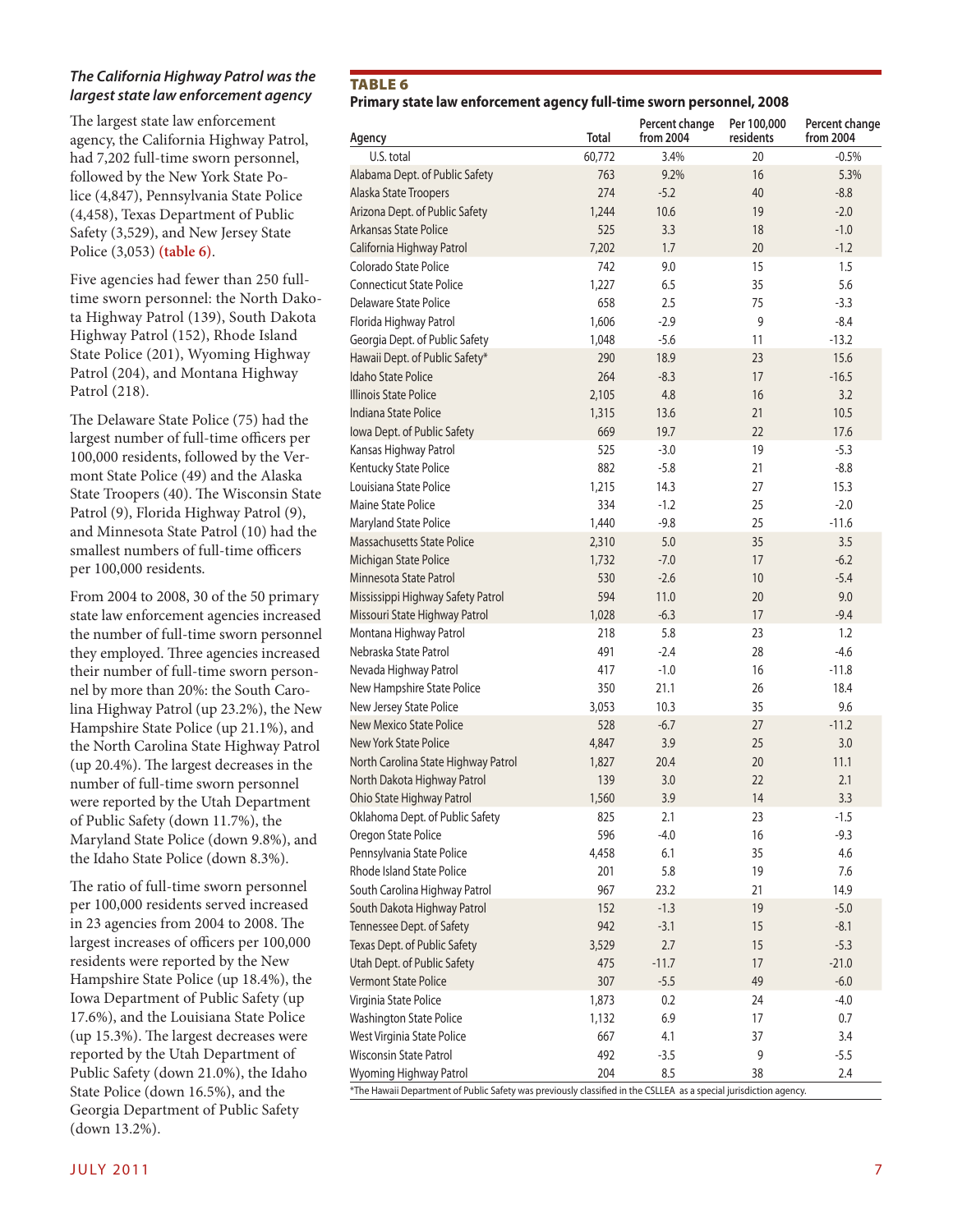#### *The California Highway Patrol was the largest state law enforcement agency*

The largest state law enforcement agency, the California Highway Patrol, had 7,202 full-time sworn personnel, followed by the New York State Police (4,847), Pennsylvania State Police (4,458), Texas Department of Public Safety (3,529), and New Jersey State Police (3,053) **(table 6)**.

Five agencies had fewer than 250 fulltime sworn personnel: the North Dakota Highway Patrol (139), South Dakota Highway Patrol (152), Rhode Island State Police (201), Wyoming Highway Patrol (204), and Montana Highway Patrol (218).

The Delaware State Police (75) had the largest number of full-time officers per 100,000 residents, followed by the Vermont State Police (49) and the Alaska State Troopers (40). The Wisconsin State Patrol (9), Florida Highway Patrol (9), and Minnesota State Patrol (10) had the smallest numbers of full-time officers per 100,000 residents.

From 2004 to 2008, 30 of the 50 primary state law enforcement agencies increased the number of full-time sworn personnel they employed. Three agencies increased their number of full-time sworn personnel by more than 20%: the South Carolina Highway Patrol (up 23.2%), the New Hampshire State Police (up 21.1%), and the North Carolina State Highway Patrol (up 20.4%). The largest decreases in the number of full-time sworn personnel were reported by the Utah Department of Public Safety (down 11.7%), the Maryland State Police (down 9.8%), and the Idaho State Police (down 8.3%).

The ratio of full-time sworn personnel per 100,000 residents served increased in 23 agencies from 2004 to 2008. The largest increases of officers per 100,000 residents were reported by the New Hampshire State Police (up 18.4%), the Iowa Department of Public Safety (up 17.6%), and the Louisiana State Police (up 15.3%). The largest decreases were reported by the Utah Department of Public Safety (down 21.0%), the Idaho State Police (down 16.5%), and the Georgia Department of Public Safety (down 13.2%).

#### TABLE<sub>6</sub>

#### **Primary state law enforcement agency full-time sworn personnel, 2008**

| Agency                                                                                                            | <b>Total</b> | Percent change<br>from 2004 | Per 100,000<br>residents | Percent change<br>from 2004 |
|-------------------------------------------------------------------------------------------------------------------|--------------|-----------------------------|--------------------------|-----------------------------|
| U.S. total                                                                                                        | 60,772       | 3.4%                        | 20                       | $-0.5%$                     |
| Alabama Dept. of Public Safety                                                                                    | 763          | 9.2%                        | 16                       | 5.3%                        |
| Alaska State Troopers                                                                                             | 274          | $-5.2$                      | 40                       | $-8.8$                      |
| Arizona Dept. of Public Safety                                                                                    | 1,244        | 10.6                        | 19                       | $-2.0$                      |
| Arkansas State Police                                                                                             | 525          | 3.3                         | 18                       | $-1.0$                      |
| California Highway Patrol                                                                                         | 7,202        | 1.7                         | 20                       | $-1.2$                      |
| Colorado State Police                                                                                             | 742          | 9.0                         | 15                       | 1.5                         |
| <b>Connecticut State Police</b>                                                                                   | 1.227        | 6.5                         | 35                       | 5.6                         |
| Delaware State Police                                                                                             | 658          | 2.5                         | 75                       | $-3.3$                      |
| Florida Highway Patrol                                                                                            | 1,606        | $-2.9$                      | 9                        | $-8.4$                      |
| Georgia Dept. of Public Safety                                                                                    | 1,048        | $-5.6$                      | 11                       | $-13.2$                     |
| Hawaii Dept. of Public Safety*                                                                                    | 290          | 18.9                        | 23                       | 15.6                        |
| <b>Idaho State Police</b>                                                                                         | 264          | $-8.3$                      | 17                       | $-16.5$                     |
| Illinois State Police                                                                                             | 2,105        | 4.8                         | 16                       | 3.2                         |
| Indiana State Police                                                                                              | 1,315        | 13.6                        | 21                       | 10.5                        |
| Iowa Dept. of Public Safety                                                                                       | 669          | 19.7                        | 22                       | 17.6                        |
| Kansas Highway Patrol                                                                                             | 525          | $-3.0$                      | 19                       | $-5.3$                      |
| Kentucky State Police                                                                                             | 882          | $-5.8$                      | 21                       | $-8.8$                      |
| Louisiana State Police                                                                                            | 1,215        | 14.3                        | 27                       | 15.3                        |
| Maine State Police                                                                                                | 334          | $-1.2$                      | 25                       | $-2.0$                      |
| Maryland State Police                                                                                             | 1,440        | $-9.8$                      | 25                       | $-11.6$                     |
| <b>Massachusetts State Police</b>                                                                                 | 2,310        | 5.0                         | 35                       | 3.5                         |
| Michigan State Police                                                                                             | 1,732        | $-7.0$                      | 17                       | $-6.2$                      |
| Minnesota State Patrol                                                                                            | 530          | $-2.6$                      | 10 <sup>1</sup>          | $-5.4$                      |
| Mississippi Highway Safety Patrol                                                                                 | 594          | 11.0                        | 20                       | 9.0                         |
| Missouri State Highway Patrol                                                                                     | 1,028        | $-6.3$                      | 17                       | $-9.4$                      |
| Montana Highway Patrol                                                                                            | 218          | 5.8                         | 23                       | 1.2                         |
| Nebraska State Patrol                                                                                             | 491          | $-2.4$                      | 28                       | $-4.6$                      |
| Nevada Highway Patrol                                                                                             | 417          | $-1.0$                      | 16                       | $-11.8$                     |
| New Hampshire State Police                                                                                        | 350          | 21.1                        | 26                       | 18.4                        |
| New Jersey State Police                                                                                           | 3,053        | 10.3                        | 35                       | 9.6                         |
| New Mexico State Police                                                                                           | 528          | $-6.7$                      | 27                       | $-11.2$                     |
| New York State Police                                                                                             | 4,847        | 3.9                         | 25                       | 3.0                         |
| North Carolina State Highway Patrol                                                                               | 1,827        | 20.4                        | 20                       | 11.1                        |
| North Dakota Highway Patrol                                                                                       | 139          | 3.0                         | 22                       | 2.1                         |
| Ohio State Highway Patrol                                                                                         | 1,560        | 3.9                         | 14                       | 3.3                         |
| Oklahoma Dept. of Public Safety                                                                                   | 825          | 2.1                         | 23                       | $-1.5$                      |
| Oregon State Police                                                                                               | 596          | $-4.0$                      | 16                       | $-9.3$                      |
| Pennsylvania State Police                                                                                         | 4,458        | 6.1                         | 35                       | 4.6                         |
| Rhode Island State Police                                                                                         | 201          | 5.8                         | 19                       | 7.6                         |
| South Carolina Highway Patrol                                                                                     | 967          | 23.2                        | 21                       | 14.9                        |
| South Dakota Highway Patrol                                                                                       | 152          | $-1.3$                      | 19                       | $-5.0$                      |
| Tennessee Dept. of Safety                                                                                         | 942          | $-3.1$                      | 15                       | $-8.1$                      |
| Texas Dept. of Public Safety                                                                                      | 3,529        | 2.7                         | 15                       | $-5.3$                      |
| Utah Dept. of Public Safety                                                                                       | 475          | $-11.7$                     | 17                       | $-21.0$                     |
| <b>Vermont State Police</b>                                                                                       | 307          | $-5.5$                      | 49                       | $-6.0$                      |
| Virginia State Police                                                                                             | 1,873        | 0.2                         | 24                       | $-4.0$                      |
| Washington State Police                                                                                           | 1,132        | 6.9                         | 17                       | 0.7                         |
| West Virginia State Police                                                                                        | 667          | 4.1                         | 37                       | 3.4                         |
| <b>Wisconsin State Patrol</b>                                                                                     | 492          | $-3.5$                      | 9                        | $-5.5$                      |
| Wyoming Highway Patrol                                                                                            | 204          | 8.5                         | 38                       | 2.4                         |
| *The Hawaii Department of Public Safety was previously classified in the CSLLEA as a special iurisdiction agency. |              |                             |                          |                             |

JULY 2011  $\overline{a}$  2011  $\overline{a}$  2011  $\overline{a}$  2011  $\overline{a}$  2011  $\overline{a}$  2011  $\overline{a}$  2011  $\overline{a}$  2011  $\overline{a}$  2011  $\overline{a}$  2011  $\overline{a}$  2011  $\overline{a}$  2011  $\overline{a}$  2011  $\overline{a}$  2011  $\overline{a}$  2011  $\overline{a}$  2011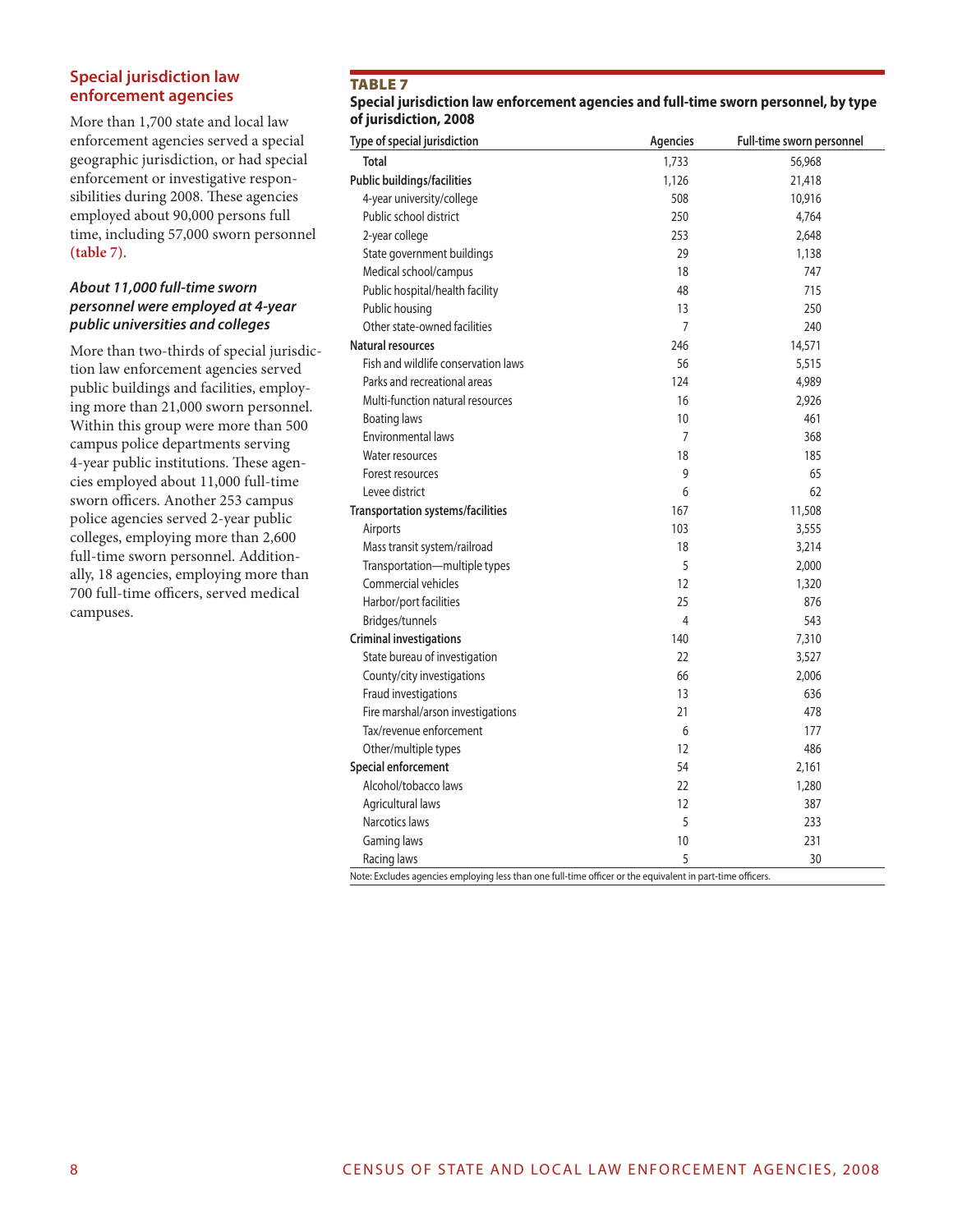#### **Special jurisdiction law enforcement agencies**

More than 1,700 state and local law enforcement agencies served a special geographic jurisdiction, or had special enforcement or investigative responsibilities during 2008. These agencies employed about 90,000 persons full time, including 57,000 sworn personnel **(table 7)**.

#### *About 11,000 full-time sworn personnel were employed at 4-year public universities and colleges*

More than two-thirds of special jurisdiction law enforcement agencies served public buildings and facilities, employing more than 21,000 sworn personnel. Within this group were more than 500 campus police departments serving 4-year public institutions. These agencies employed about 11,000 full-time sworn officers. Another 253 campus police agencies served 2-year public colleges, employing more than 2,600 full-time sworn personnel. Additionally, 18 agencies, employing more than 700 full-time officers, served medical campuses.

#### **TABLE 7**

#### **Special jurisdiction law enforcement agencies and full-time sworn personnel, by type of jurisdiction, 2008**

| <b>Total</b><br>1,733<br>56,968<br>Public buildings/facilities<br>1,126<br>21,418<br>4-year university/college<br>508<br>10,916<br>Public school district<br>250<br>4,764<br>253<br>2-year college<br>2,648<br>State government buildings<br>29<br>1,138<br>Medical school/campus<br>18<br>747<br>Public hospital/health facility<br>715<br>48<br>250<br>Public housing<br>13<br>Other state-owned facilities<br>$\overline{7}$<br>240<br>Natural resources<br>246<br>14,571<br>Fish and wildlife conservation laws<br>56<br>5,515<br>Parks and recreational areas<br>124<br>4,989<br>Multi-function natural resources<br>16<br>2,926<br><b>Boating laws</b><br>10<br>461<br>Environmental laws<br>$\overline{7}$<br>368<br>18<br>Water resources<br>185<br>9<br>65<br>Forest resources<br>Levee district<br>6<br>62<br>Transportation systems/facilities<br>167<br>11,508<br>3,555<br>Airports<br>103<br>3,214<br>Mass transit system/railroad<br>18<br>5<br>Transportation-multiple types<br>2,000<br>Commercial vehicles<br>12<br>1,320<br>Harbor/port facilities<br>25<br>876<br>Bridges/tunnels<br>543<br>4 |  |
|------------------------------------------------------------------------------------------------------------------------------------------------------------------------------------------------------------------------------------------------------------------------------------------------------------------------------------------------------------------------------------------------------------------------------------------------------------------------------------------------------------------------------------------------------------------------------------------------------------------------------------------------------------------------------------------------------------------------------------------------------------------------------------------------------------------------------------------------------------------------------------------------------------------------------------------------------------------------------------------------------------------------------------------------------------------------------------------------------------------|--|
|                                                                                                                                                                                                                                                                                                                                                                                                                                                                                                                                                                                                                                                                                                                                                                                                                                                                                                                                                                                                                                                                                                                  |  |
|                                                                                                                                                                                                                                                                                                                                                                                                                                                                                                                                                                                                                                                                                                                                                                                                                                                                                                                                                                                                                                                                                                                  |  |
|                                                                                                                                                                                                                                                                                                                                                                                                                                                                                                                                                                                                                                                                                                                                                                                                                                                                                                                                                                                                                                                                                                                  |  |
|                                                                                                                                                                                                                                                                                                                                                                                                                                                                                                                                                                                                                                                                                                                                                                                                                                                                                                                                                                                                                                                                                                                  |  |
|                                                                                                                                                                                                                                                                                                                                                                                                                                                                                                                                                                                                                                                                                                                                                                                                                                                                                                                                                                                                                                                                                                                  |  |
|                                                                                                                                                                                                                                                                                                                                                                                                                                                                                                                                                                                                                                                                                                                                                                                                                                                                                                                                                                                                                                                                                                                  |  |
|                                                                                                                                                                                                                                                                                                                                                                                                                                                                                                                                                                                                                                                                                                                                                                                                                                                                                                                                                                                                                                                                                                                  |  |
|                                                                                                                                                                                                                                                                                                                                                                                                                                                                                                                                                                                                                                                                                                                                                                                                                                                                                                                                                                                                                                                                                                                  |  |
|                                                                                                                                                                                                                                                                                                                                                                                                                                                                                                                                                                                                                                                                                                                                                                                                                                                                                                                                                                                                                                                                                                                  |  |
|                                                                                                                                                                                                                                                                                                                                                                                                                                                                                                                                                                                                                                                                                                                                                                                                                                                                                                                                                                                                                                                                                                                  |  |
|                                                                                                                                                                                                                                                                                                                                                                                                                                                                                                                                                                                                                                                                                                                                                                                                                                                                                                                                                                                                                                                                                                                  |  |
|                                                                                                                                                                                                                                                                                                                                                                                                                                                                                                                                                                                                                                                                                                                                                                                                                                                                                                                                                                                                                                                                                                                  |  |
|                                                                                                                                                                                                                                                                                                                                                                                                                                                                                                                                                                                                                                                                                                                                                                                                                                                                                                                                                                                                                                                                                                                  |  |
|                                                                                                                                                                                                                                                                                                                                                                                                                                                                                                                                                                                                                                                                                                                                                                                                                                                                                                                                                                                                                                                                                                                  |  |
|                                                                                                                                                                                                                                                                                                                                                                                                                                                                                                                                                                                                                                                                                                                                                                                                                                                                                                                                                                                                                                                                                                                  |  |
|                                                                                                                                                                                                                                                                                                                                                                                                                                                                                                                                                                                                                                                                                                                                                                                                                                                                                                                                                                                                                                                                                                                  |  |
|                                                                                                                                                                                                                                                                                                                                                                                                                                                                                                                                                                                                                                                                                                                                                                                                                                                                                                                                                                                                                                                                                                                  |  |
|                                                                                                                                                                                                                                                                                                                                                                                                                                                                                                                                                                                                                                                                                                                                                                                                                                                                                                                                                                                                                                                                                                                  |  |
|                                                                                                                                                                                                                                                                                                                                                                                                                                                                                                                                                                                                                                                                                                                                                                                                                                                                                                                                                                                                                                                                                                                  |  |
|                                                                                                                                                                                                                                                                                                                                                                                                                                                                                                                                                                                                                                                                                                                                                                                                                                                                                                                                                                                                                                                                                                                  |  |
|                                                                                                                                                                                                                                                                                                                                                                                                                                                                                                                                                                                                                                                                                                                                                                                                                                                                                                                                                                                                                                                                                                                  |  |
|                                                                                                                                                                                                                                                                                                                                                                                                                                                                                                                                                                                                                                                                                                                                                                                                                                                                                                                                                                                                                                                                                                                  |  |
|                                                                                                                                                                                                                                                                                                                                                                                                                                                                                                                                                                                                                                                                                                                                                                                                                                                                                                                                                                                                                                                                                                                  |  |
|                                                                                                                                                                                                                                                                                                                                                                                                                                                                                                                                                                                                                                                                                                                                                                                                                                                                                                                                                                                                                                                                                                                  |  |
|                                                                                                                                                                                                                                                                                                                                                                                                                                                                                                                                                                                                                                                                                                                                                                                                                                                                                                                                                                                                                                                                                                                  |  |
|                                                                                                                                                                                                                                                                                                                                                                                                                                                                                                                                                                                                                                                                                                                                                                                                                                                                                                                                                                                                                                                                                                                  |  |
| <b>Criminal investigations</b><br>140<br>7,310                                                                                                                                                                                                                                                                                                                                                                                                                                                                                                                                                                                                                                                                                                                                                                                                                                                                                                                                                                                                                                                                   |  |
| State bureau of investigation<br>22<br>3,527                                                                                                                                                                                                                                                                                                                                                                                                                                                                                                                                                                                                                                                                                                                                                                                                                                                                                                                                                                                                                                                                     |  |
| County/city investigations<br>66<br>2,006                                                                                                                                                                                                                                                                                                                                                                                                                                                                                                                                                                                                                                                                                                                                                                                                                                                                                                                                                                                                                                                                        |  |
| Fraud investigations<br>13<br>636                                                                                                                                                                                                                                                                                                                                                                                                                                                                                                                                                                                                                                                                                                                                                                                                                                                                                                                                                                                                                                                                                |  |
| Fire marshal/arson investigations<br>21<br>478                                                                                                                                                                                                                                                                                                                                                                                                                                                                                                                                                                                                                                                                                                                                                                                                                                                                                                                                                                                                                                                                   |  |
| Tax/revenue enforcement<br>6<br>177                                                                                                                                                                                                                                                                                                                                                                                                                                                                                                                                                                                                                                                                                                                                                                                                                                                                                                                                                                                                                                                                              |  |
| 486<br>Other/multiple types<br>12                                                                                                                                                                                                                                                                                                                                                                                                                                                                                                                                                                                                                                                                                                                                                                                                                                                                                                                                                                                                                                                                                |  |
| Special enforcement<br>54<br>2,161                                                                                                                                                                                                                                                                                                                                                                                                                                                                                                                                                                                                                                                                                                                                                                                                                                                                                                                                                                                                                                                                               |  |
| Alcohol/tobacco laws<br>22<br>1,280                                                                                                                                                                                                                                                                                                                                                                                                                                                                                                                                                                                                                                                                                                                                                                                                                                                                                                                                                                                                                                                                              |  |
| Agricultural laws<br>12<br>387                                                                                                                                                                                                                                                                                                                                                                                                                                                                                                                                                                                                                                                                                                                                                                                                                                                                                                                                                                                                                                                                                   |  |
| Narcotics laws<br>5<br>233                                                                                                                                                                                                                                                                                                                                                                                                                                                                                                                                                                                                                                                                                                                                                                                                                                                                                                                                                                                                                                                                                       |  |
| Gaming laws<br>10<br>231                                                                                                                                                                                                                                                                                                                                                                                                                                                                                                                                                                                                                                                                                                                                                                                                                                                                                                                                                                                                                                                                                         |  |
| 5<br>30<br>Racing laws                                                                                                                                                                                                                                                                                                                                                                                                                                                                                                                                                                                                                                                                                                                                                                                                                                                                                                                                                                                                                                                                                           |  |

Note: Excludes agencies employing less than one full-time officer or the equivalent in part-time officers.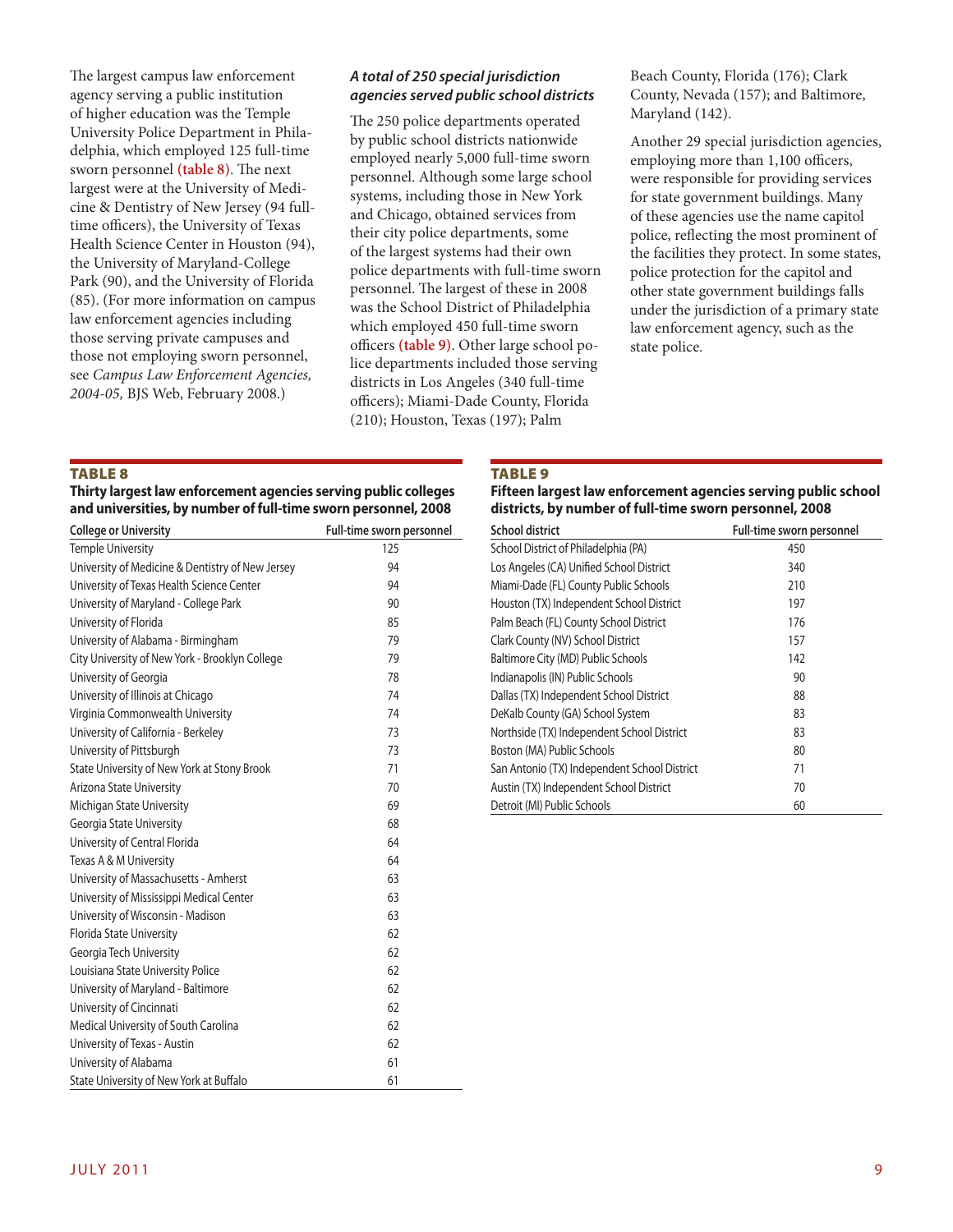The largest campus law enforcement agency serving a public institution of higher education was the Temple University Police Department in Philadelphia, which employed 125 full-time sworn personnel **(table 8)**. The next largest were at the University of Medicine & Dentistry of New Jersey (94 fulltime officers), the University of Texas Health Science Center in Houston (94), the University of Maryland-College Park (90), and the University of Florida (85). (For more information on campus law enforcement agencies including those serving private campuses and those not employing sworn personnel, see *Campus Law Enforcement Agencies, 2004-05,* BJS Web, February 2008.)

#### *A total of 250 special jurisdiction agencies served public school districts*

The 250 police departments operated by public school districts nationwide employed nearly 5,000 full-time sworn personnel. Although some large school systems, including those in New York and Chicago, obtained services from their city police departments, some of the largest systems had their own police departments with full-time sworn personnel. The largest of these in 2008 was the School District of Philadelphia which employed 450 full-time sworn officers **(table 9)**. Other large school police departments included those serving districts in Los Angeles (340 full-time officers); Miami-Dade County, Florida (210); Houston, Texas (197); Palm

Beach County, Florida (176); Clark County, Nevada (157); and Baltimore, Maryland (142).

Another 29 special jurisdiction agencies, employing more than 1,100 officers, were responsible for providing services for state government buildings. Many of these agencies use the name capitol police, reflecting the most prominent of the facilities they protect. In some states, police protection for the capitol and other state government buildings falls under the jurisdiction of a primary state law enforcement agency, such as the state police.

#### TABLE<sub>8</sub>

| Thirty largest law enforcement agencies serving public colleges |  |
|-----------------------------------------------------------------|--|
| and universities, by number of full-time sworn personnel, 2008  |  |

| <b>College or University</b>                     | Full-time sworn personnel |
|--------------------------------------------------|---------------------------|
| <b>Temple University</b>                         | 125                       |
| University of Medicine & Dentistry of New Jersey | 94                        |
| University of Texas Health Science Center        | 94                        |
| University of Maryland - College Park            | 90                        |
| University of Florida                            | 85                        |
| University of Alabama - Birmingham               | 79                        |
| City University of New York - Brooklyn College   | 79                        |
| University of Georgia                            | 78                        |
| University of Illinois at Chicago                | 74                        |
| Virginia Commonwealth University                 | 74                        |
| University of California - Berkeley              | 73                        |
| University of Pittsburgh                         | 73                        |
| State University of New York at Stony Brook      | 71                        |
| Arizona State University                         | 70                        |
| Michigan State University                        | 69                        |
| Georgia State University                         | 68                        |
| University of Central Florida                    | 64                        |
| Texas A & M University                           | 64                        |
| University of Massachusetts - Amherst            | 63                        |
| University of Mississippi Medical Center         | 63                        |
| University of Wisconsin - Madison                | 63                        |
| Florida State University                         | 62                        |
| Georgia Tech University                          | 62                        |
| Louisiana State University Police                | 62                        |
| University of Maryland - Baltimore               | 62                        |
| University of Cincinnati                         | 62                        |
| Medical University of South Carolina             | 62                        |
| University of Texas - Austin                     | 62                        |
| University of Alabama                            | 61                        |
| State University of New York at Buffalo          | 61                        |

#### **TABLE 9**

**Fifteen largest law enforcement agencies serving public school districts, by number of full-time sworn personnel, 2008**

| <b>School district</b>                       | Full-time sworn personnel |
|----------------------------------------------|---------------------------|
| School District of Philadelphia (PA)         | 450                       |
| Los Angeles (CA) Unified School District     | 340                       |
| Miami-Dade (FL) County Public Schools        | 210                       |
| Houston (TX) Independent School District     | 197                       |
| Palm Beach (FL) County School District       | 176                       |
| Clark County (NV) School District            | 157                       |
| Baltimore City (MD) Public Schools           | 142                       |
| Indianapolis (IN) Public Schools             | 90                        |
| Dallas (TX) Independent School District      | 88                        |
| DeKalb County (GA) School System             | 83                        |
| Northside (TX) Independent School District   | 83                        |
| Boston (MA) Public Schools                   | 80                        |
| San Antonio (TX) Independent School District | 71                        |
| Austin (TX) Independent School District      | 70                        |
| Detroit (MI) Public Schools                  | 60                        |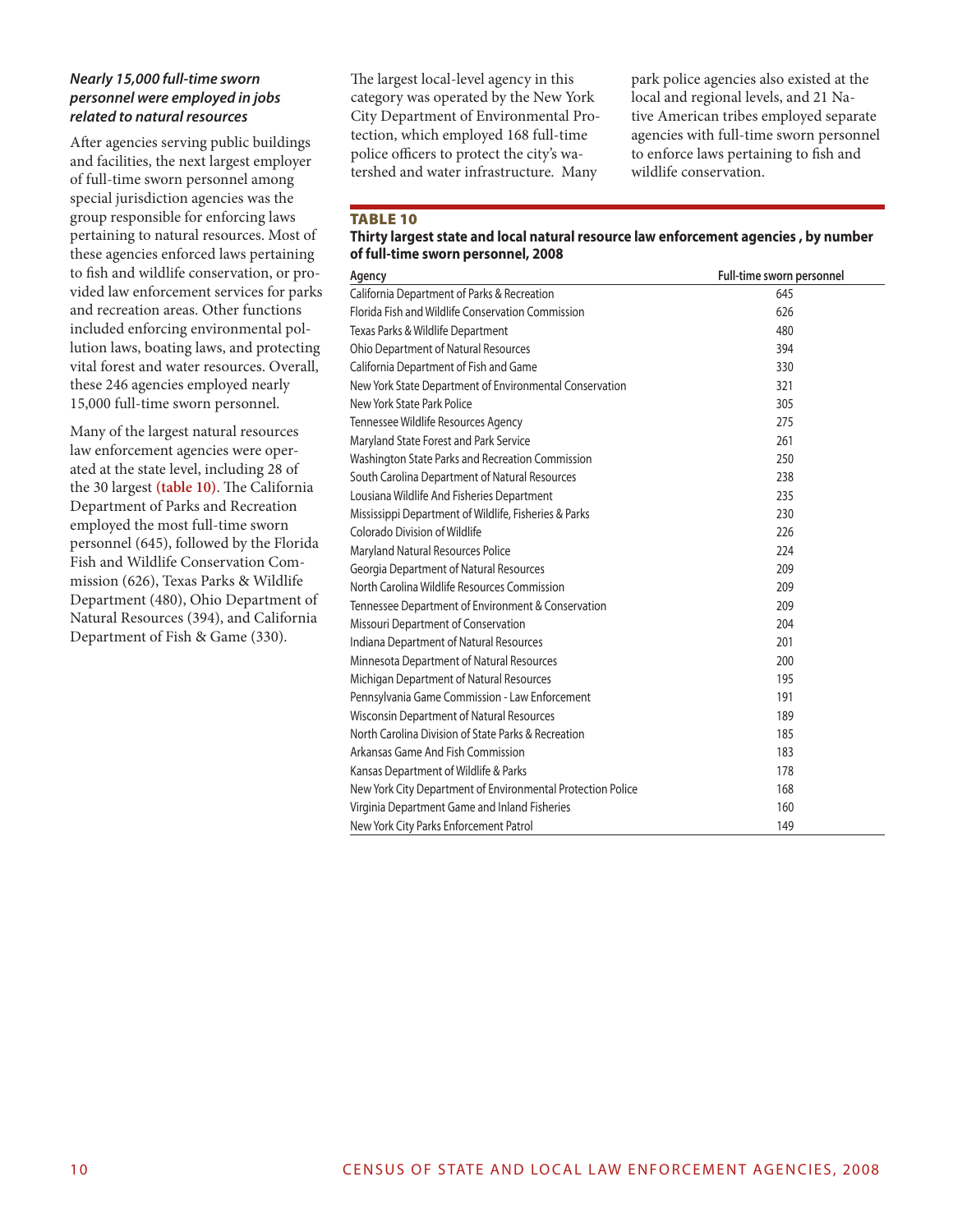#### *Nearly 15,000 full-time sworn personnel were employed in jobs related to natural resources*

After agencies serving public buildings and facilities, the next largest employer of full-time sworn personnel among special jurisdiction agencies was the group responsible for enforcing laws pertaining to natural resources. Most of these agencies enforced laws pertaining to fish and wildlife conservation, or provided law enforcement services for parks and recreation areas. Other functions included enforcing environmental pollution laws, boating laws, and protecting vital forest and water resources. Overall, these 246 agencies employed nearly 15,000 full-time sworn personnel.

Many of the largest natural resources law enforcement agencies were operated at the state level, including 28 of the 30 largest **(table 10)**. The California Department of Parks and Recreation employed the most full-time sworn personnel (645), followed by the Florida Fish and Wildlife Conservation Commission (626), Texas Parks & Wildlife Department (480), Ohio Department of Natural Resources (394), and California Department of Fish & Game (330).

The largest local-level agency in this category was operated by the New York City Department of Environmental Protection, which employed 168 full-time police officers to protect the city's watershed and water infrastructure. Many

park police agencies also existed at the local and regional levels, and 21 Native American tribes employed separate agencies with full-time sworn personnel to enforce laws pertaining to fish and wildlife conservation.

#### TABLE 10

#### **Thirty largest state and local natural resource law enforcement agencies , by number of full-time sworn personnel, 2008**

| Agency                                                      | Full-time sworn personnel |
|-------------------------------------------------------------|---------------------------|
| California Department of Parks & Recreation                 | 645                       |
| Florida Fish and Wildlife Conservation Commission           | 626                       |
| Texas Parks & Wildlife Department                           | 480                       |
| Ohio Department of Natural Resources                        | 394                       |
| California Department of Fish and Game                      | 330                       |
| New York State Department of Environmental Conservation     | 321                       |
| New York State Park Police                                  | 305                       |
| Tennessee Wildlife Resources Agency                         | 275                       |
| Maryland State Forest and Park Service                      | 261                       |
| Washington State Parks and Recreation Commission            | 250                       |
| South Carolina Department of Natural Resources              | 238                       |
| Lousiana Wildlife And Fisheries Department                  | 235                       |
| Mississippi Department of Wildlife, Fisheries & Parks       | 230                       |
| Colorado Division of Wildlife                               | 226                       |
| Maryland Natural Resources Police                           | 224                       |
| Georgia Department of Natural Resources                     | 209                       |
| North Carolina Wildlife Resources Commission                | 209                       |
| Tennessee Department of Environment & Conservation          | 209                       |
| Missouri Department of Conservation                         | 204                       |
| Indiana Department of Natural Resources                     | 201                       |
| Minnesota Department of Natural Resources                   | 200                       |
| Michigan Department of Natural Resources                    | 195                       |
| Pennsylvania Game Commission - Law Enforcement              | 191                       |
| Wisconsin Department of Natural Resources                   | 189                       |
| North Carolina Division of State Parks & Recreation         | 185                       |
| Arkansas Game And Fish Commission                           | 183                       |
| Kansas Department of Wildlife & Parks                       | 178                       |
| New York City Department of Environmental Protection Police | 168                       |
| Virginia Department Game and Inland Fisheries               | 160                       |
| New York City Parks Enforcement Patrol                      | 149                       |
|                                                             |                           |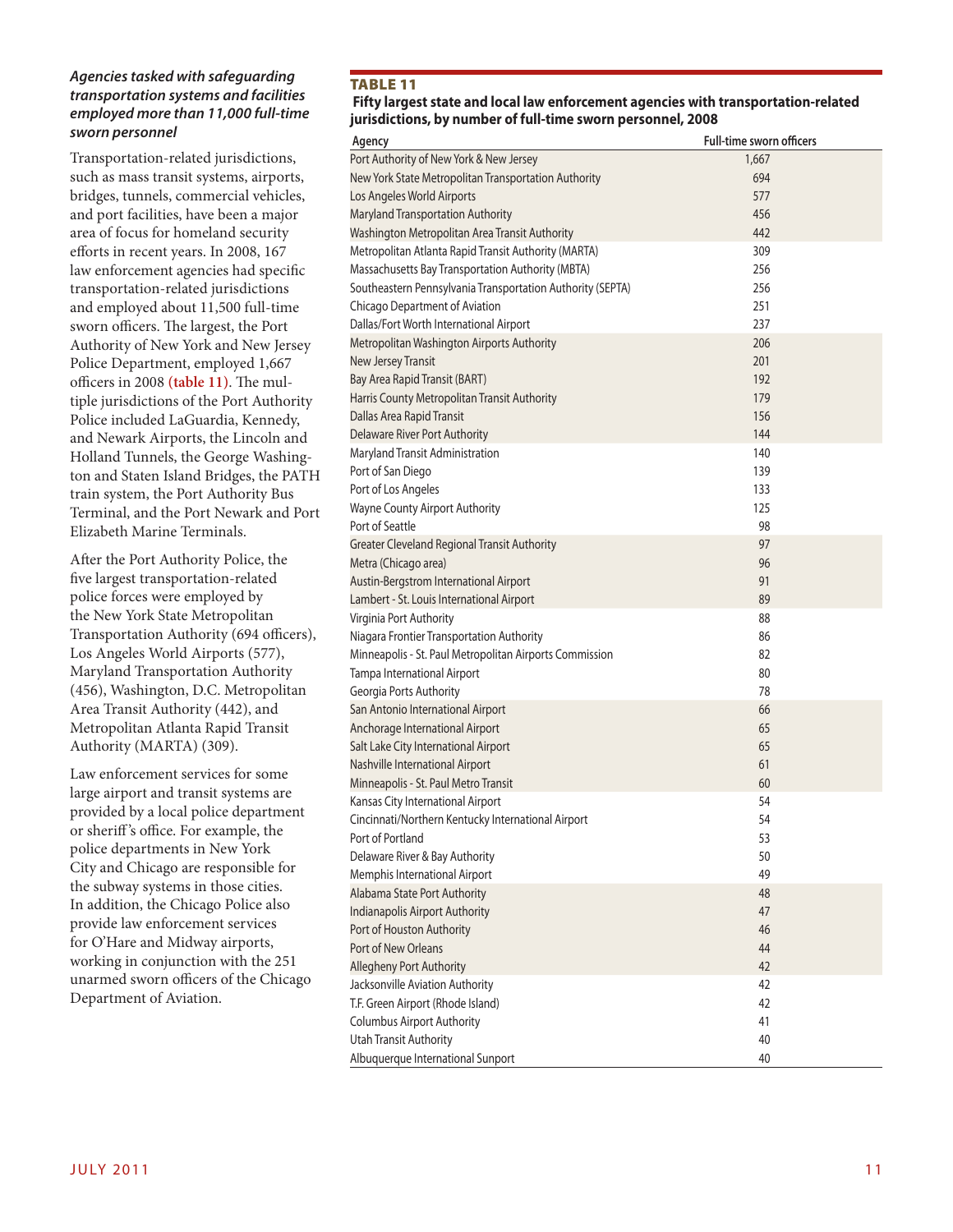#### *Agencies tasked with safeguarding transportation systems and facilities employed more than 11,000 full-time sworn personnel*

Transportation-related jurisdictions, such as mass transit systems, airports, bridges, tunnels, commercial vehicles, and port facilities, have been a major area of focus for homeland security efforts in recent years. In 2008, 167 law enforcement agencies had specific transportation-related jurisdictions and employed about 11,500 full-time sworn officers. The largest, the Port Authority of New York and New Jersey Police Department, employed 1,667 officers in 2008 **(table 11)**. The multiple jurisdictions of the Port Authority Police included LaGuardia, Kennedy, and Newark Airports, the Lincoln and Holland Tunnels, the George Washington and Staten Island Bridges, the PATH train system, the Port Authority Bus Terminal, and the Port Newark and Port Elizabeth Marine Terminals.

After the Port Authority Police, the five largest transportation-related police forces were employed by the New York State Metropolitan Transportation Authority (694 officers), Los Angeles World Airports (577), Maryland Transportation Authority (456), Washington, D.C. Metropolitan Area Transit Authority (442), and Metropolitan Atlanta Rapid Transit Authority (MARTA) (309).

Law enforcement services for some large airport and transit systems are provided by a local police department or sheriff 's office. For example, the police departments in New York City and Chicago are responsible for the subway systems in those cities. In addition, the Chicago Police also provide law enforcement services for O'Hare and Midway airports, working in conjunction with the 251 unarmed sworn officers of the Chicago Department of Aviation.

#### TABLE 11

 **Fifty largest state and local law enforcement agencies with transportation-related jurisdictions, by number of full-time sworn personnel, 2008**

| Agency                                                     | <b>Full-time sworn officers</b> |
|------------------------------------------------------------|---------------------------------|
| Port Authority of New York & New Jersey                    | 1,667                           |
| New York State Metropolitan Transportation Authority       | 694                             |
| Los Angeles World Airports                                 | 577                             |
| Maryland Transportation Authority                          | 456                             |
| Washington Metropolitan Area Transit Authority             | 442                             |
| Metropolitan Atlanta Rapid Transit Authority (MARTA)       | 309                             |
| Massachusetts Bay Transportation Authority (MBTA)          | 256                             |
| Southeastern Pennsylvania Transportation Authority (SEPTA) | 256                             |
| Chicago Department of Aviation                             | 251                             |
| Dallas/Fort Worth International Airport                    | 237                             |
| Metropolitan Washington Airports Authority                 | 206                             |
| New Jersey Transit                                         | 201                             |
| Bay Area Rapid Transit (BART)                              | 192                             |
| Harris County Metropolitan Transit Authority               | 179                             |
| Dallas Area Rapid Transit                                  | 156                             |
| Delaware River Port Authority                              | 144                             |
| Maryland Transit Administration                            | 140                             |
| Port of San Diego                                          | 139                             |
| Port of Los Angeles                                        | 133                             |
| Wayne County Airport Authority                             | 125                             |
| Port of Seattle                                            | 98                              |
| <b>Greater Cleveland Regional Transit Authority</b>        | 97                              |
| Metra (Chicago area)                                       | 96                              |
| Austin-Bergstrom International Airport                     | 91                              |
| Lambert - St. Louis International Airport                  | 89                              |
| Virginia Port Authority                                    | 88                              |
| Niagara Frontier Transportation Authority                  | 86                              |
| Minneapolis - St. Paul Metropolitan Airports Commission    | 82                              |
| Tampa International Airport                                | 80                              |
| Georgia Ports Authority                                    | 78                              |
| San Antonio International Airport                          | 66                              |
| Anchorage International Airport                            | 65                              |
| Salt Lake City International Airport                       | 65                              |
| Nashville International Airport                            | 61                              |
| Minneapolis - St. Paul Metro Transit                       | 60                              |
| Kansas City International Airport                          | 54                              |
| Cincinnati/Northern Kentucky International Airport         | 54                              |
| Port of Portland                                           | 53                              |
| Delaware River & Bay Authority                             | 50                              |
| Memphis International Airport                              | 49                              |
| Alabama State Port Authority                               | 48                              |
| Indianapolis Airport Authority                             | 47                              |
| Port of Houston Authority                                  | 46                              |
| Port of New Orleans                                        | 44                              |
| Allegheny Port Authority                                   | 42                              |
| Jacksonville Aviation Authority                            | 42                              |
| T.F. Green Airport (Rhode Island)                          | 42                              |
| <b>Columbus Airport Authority</b>                          | 41                              |
| Utah Transit Authority                                     | 40                              |
| Albuquerque International Sunport                          | 40                              |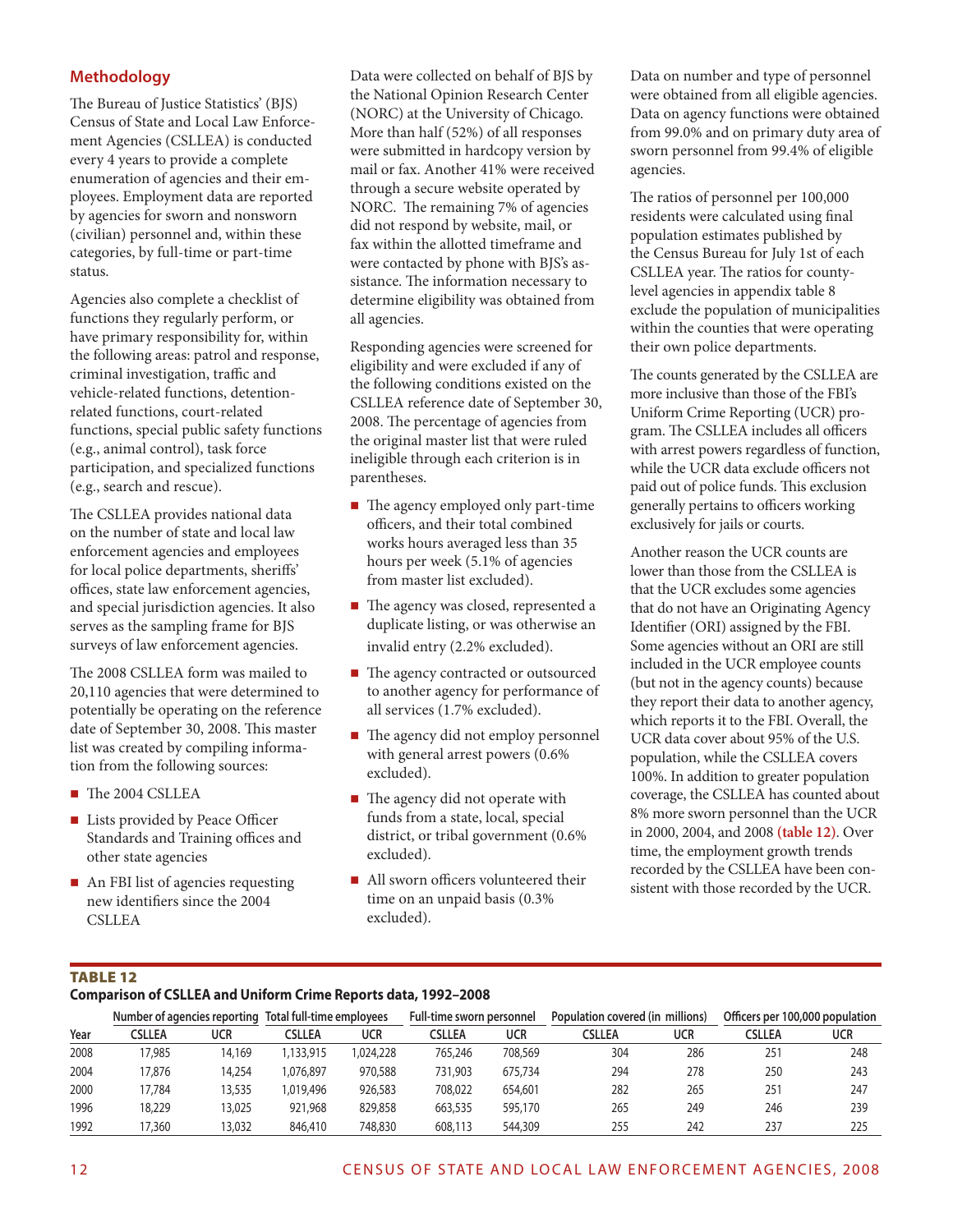# **Methodology**

The Bureau of Justice Statistics' (BJS) Census of State and Local Law Enforcement Agencies (CSLLEA) is conducted every 4 years to provide a complete enumeration of agencies and their employees. Employment data are reported by agencies for sworn and nonsworn (civilian) personnel and, within these categories, by full-time or part-time status.

Agencies also complete a checklist of functions they regularly perform, or have primary responsibility for, within the following areas: patrol and response, criminal investigation, traffic and vehicle-related functions, detentionrelated functions, court-related functions, special public safety functions (e.g., animal control), task force participation, and specialized functions (e.g., search and rescue).

The CSLLEA provides national data on the number of state and local law enforcement agencies and employees for local police departments, sheriffs' offices, state law enforcement agencies, and special jurisdiction agencies. It also serves as the sampling frame for BJS surveys of law enforcement agencies.

The 2008 CSLLEA form was mailed to 20,110 agencies that were determined to potentially be operating on the reference date of September 30, 2008. This master list was created by compiling information from the following sources:

- The 2004 CSLLEA
- **Lists provided by Peace Officer** Standards and Training offices and other state agencies
- An FBI list of agencies requesting new identifiers since the 2004 CSLLEA

Data were collected on behalf of BJS by the National Opinion Research Center (NORC) at the University of Chicago. More than half (52%) of all responses were submitted in hardcopy version by mail or fax. Another 41% were received through a secure website operated by NORC. The remaining 7% of agencies did not respond by website, mail, or fax within the allotted timeframe and were contacted by phone with BJS's assistance. The information necessary to determine eligibility was obtained from all agencies.

Responding agencies were screened for eligibility and were excluded if any of the following conditions existed on the CSLLEA reference date of September 30, 2008. The percentage of agencies from the original master list that were ruled ineligible through each criterion is in parentheses.

- The agency employed only part-time officers, and their total combined works hours averaged less than 35 hours per week (5.1% of agencies from master list excluded).
- The agency was closed, represented a duplicate listing, or was otherwise an invalid entry (2.2% excluded).
- The agency contracted or outsourced to another agency for performance of all services (1.7% excluded).
- The agency did not employ personnel with general arrest powers (0.6% excluded).
- $\blacksquare$  The agency did not operate with funds from a state, local, special district, or tribal government (0.6% excluded).
- All sworn officers volunteered their time on an unpaid basis (0.3% excluded).

Data on number and type of personnel were obtained from all eligible agencies. Data on agency functions were obtained from 99.0% and on primary duty area of sworn personnel from 99.4% of eligible agencies.

The ratios of personnel per 100,000 residents were calculated using final population estimates published by the Census Bureau for July 1st of each CSLLEA year. The ratios for countylevel agencies in appendix table 8 exclude the population of municipalities within the counties that were operating their own police departments.

The counts generated by the CSLLEA are more inclusive than those of the FBI's Uniform Crime Reporting (UCR) program. The CSLLEA includes all officers with arrest powers regardless of function, while the UCR data exclude officers not paid out of police funds. This exclusion generally pertains to officers working exclusively for jails or courts.

Another reason the UCR counts are lower than those from the CSLLEA is that the UCR excludes some agencies that do not have an Originating Agency Identifier (ORI) assigned by the FBI. Some agencies without an ORI are still included in the UCR employee counts (but not in the agency counts) because they report their data to another agency, which reports it to the FBI. Overall, the UCR data cover about 95% of the U.S. population, while the CSLLEA covers 100%. In addition to greater population coverage, the CSLLEA has counted about 8% more sworn personnel than the UCR in 2000, 2004, and 2008 **(table 12)**. Over time, the employment growth trends recorded by the CSLLEA have been consistent with those recorded by the UCR.

# Table 12

#### **Comparison of CSLLEA and Uniform Crime Reports data, 1992–2008**

|      | Number of agencies reporting Total full-time employees |        |           |            | Full-time sworn personnel |         | Population covered (in millions) |     | Officers per 100,000 population |     |
|------|--------------------------------------------------------|--------|-----------|------------|---------------------------|---------|----------------------------------|-----|---------------------------------|-----|
| Year | CSLLEA                                                 | ucr    | CSLLEA    | <b>UCR</b> | CSLLEA                    | ucr     | CSLLEA                           | ucr | <b>CSLLEA</b>                   | ucr |
| 2008 | 17,985                                                 | 14.169 | 133.915   | .024.228   | 765,246                   | 708,569 | 304                              | 286 | 251                             | 248 |
| 2004 | 17.876                                                 | 14,254 | 1,076,897 | 970,588    | 731,903                   | 675,734 | 294                              | 278 | 250                             | 243 |
| 2000 | 17.784                                                 | 13,535 | 1.019.496 | 926,583    | 708,022                   | 654,601 | 282                              | 265 | 251                             | 247 |
| 1996 | 18,229                                                 | 13,025 | 921,968   | 829,858    | 663,535                   | 595,170 | 265                              | 249 | 246                             | 239 |
| 1992 | 17,360                                                 | 13,032 | 846,410   | 748.830    | 608,113                   | 544,309 | 255                              | 242 | 237                             | 225 |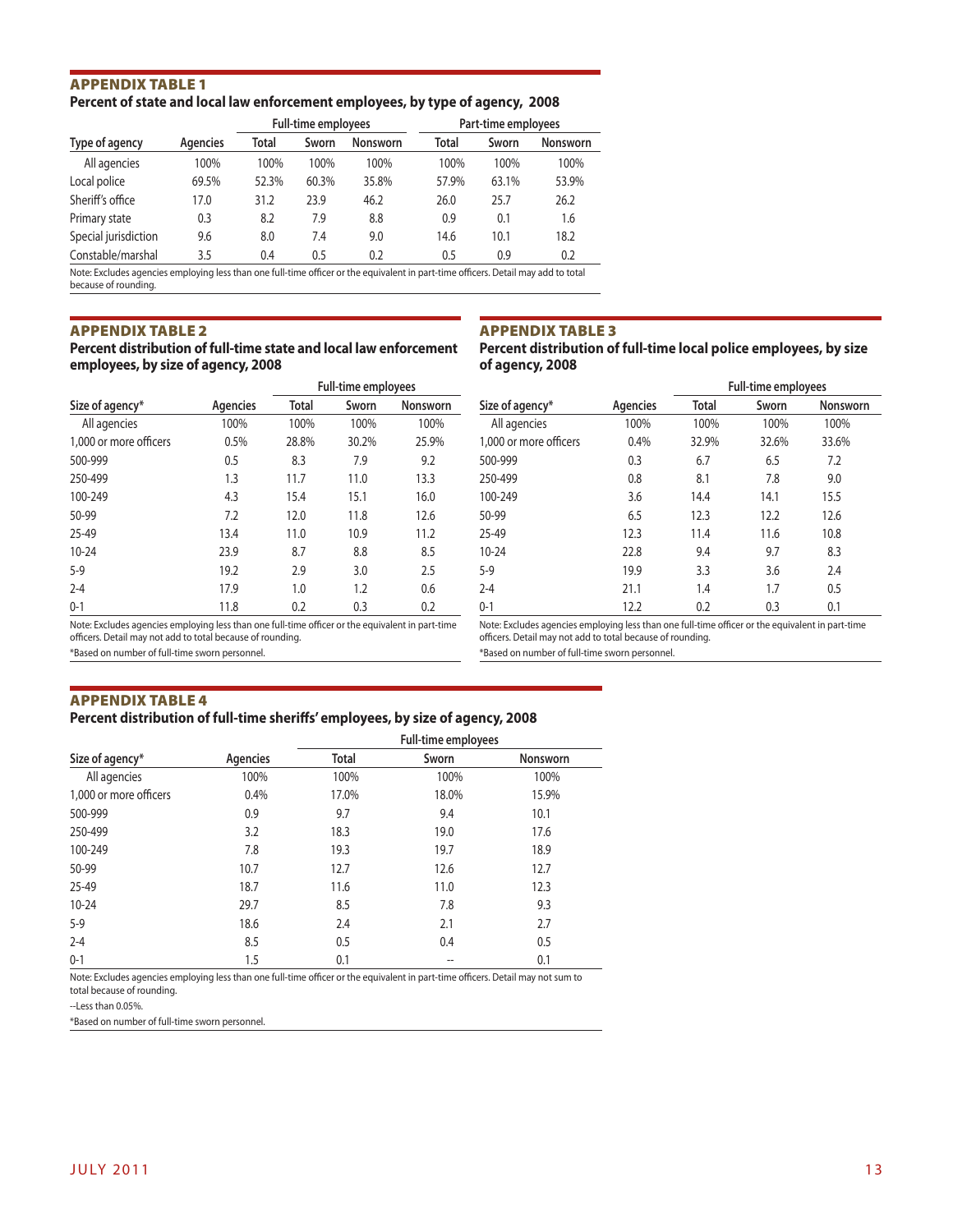#### Appendix Table 1 **Percent of state and local law enforcement employees, by type of agency, 2008**

|                      |          | <b>Full-time employees</b> |       |                 | Part-time employees |       |                 |  |
|----------------------|----------|----------------------------|-------|-----------------|---------------------|-------|-----------------|--|
| Type of agency       | Agencies | Total                      | Sworn | <b>Nonsworn</b> | Total               | Sworn | <b>Nonsworn</b> |  |
| All agencies         | 100%     | 100%                       | 100%  | 100%            | 100%                | 100%  | 100%            |  |
| Local police         | 69.5%    | 52.3%                      | 60.3% | 35.8%           | 57.9%               | 63.1% | 53.9%           |  |
| Sheriff's office     | 17.0     | 31.2                       | 23.9  | 46.2            | 26.0                | 25.7  | 26.2            |  |
| Primary state        | 0.3      | 8.2                        | 7.9   | 8.8             | 0.9                 | 0.1   | 1.6             |  |
| Special jurisdiction | 9.6      | 8.0                        | 7.4   | 9.0             | 14.6                | 10.1  | 18.2            |  |
| Constable/marshal    | 3.5      | 0.4                        | 0.5   | 0.2             | 0.5                 | 0.9   | 0.2             |  |

Note: Excludes agencies employing less than one full-time officer or the equivalent in part-time officers. Detail may add to total because of rounding.

#### Appendix Table 2

**Percent distribution of full-time state and local law enforcement employees, by size of agency, 2008**

#### Appendix Table 3

**Percent distribution of full-time local police employees, by size of agency, 2008 Full-time employees**

|                        |          |       | <b>Full-time employees</b> |                 |
|------------------------|----------|-------|----------------------------|-----------------|
| Size of agency*        | Agencies | Total | Sworn                      | <b>Nonsworn</b> |
| All agencies           | 100%     | 100%  | 100%                       | 100%            |
| 1,000 or more officers | 0.5%     | 28.8% | 30.2%                      | 25.9%           |
| 500-999                | 0.5      | 8.3   | 7.9                        | 9.2             |
| 250-499                | 1.3      | 11.7  | 11.0                       | 13.3            |
| 100-249                | 4.3      | 15.4  | 15.1                       | 16.0            |
| 50-99                  | 7.2      | 12.0  | 11.8                       | 12.6            |
| 25-49                  | 13.4     | 11.0  | 10.9                       | 11.2            |
| $10 - 24$              | 23.9     | 8.7   | 8.8                        | 8.5             |
| $5-9$                  | 19.2     | 2.9   | 3.0                        | 2.5             |
| $2 - 4$                | 17.9     | 1.0   | 1.2                        | 0.6             |
| $0 - 1$                | 11.8     | 0.2   | 0.3                        | 0.2             |

|                        |          |       | <b>Full-time employees</b> |                 |
|------------------------|----------|-------|----------------------------|-----------------|
| Size of agency*        | Agencies | Total | Sworn                      | <b>Nonsworn</b> |
| All agencies           | 100%     | 100%  | 100%                       | 100%            |
| 1,000 or more officers | 0.4%     | 32.9% | 32.6%                      | 33.6%           |
| 500-999                | 0.3      | 6.7   | 6.5                        | 7.2             |
| 250-499                | 0.8      | 8.1   | 7.8                        | 9.0             |
| 100-249                | 3.6      | 14.4  | 14.1                       | 15.5            |
| 50-99                  | 6.5      | 12.3  | 12.2                       | 12.6            |
| $25 - 49$              | 12.3     | 11.4  | 11.6                       | 10.8            |
| $10 - 24$              | 22.8     | 9.4   | 9.7                        | 8.3             |
| $5-9$                  | 19.9     | 3.3   | 3.6                        | 2.4             |
| $2 - 4$                | 21.1     | 1.4   | 1.7                        | 0.5             |
| $0 - 1$                | 12.2     | 0.2   | 0.3                        | 0.1             |

Note: Excludes agencies employing less than one full-time officer or the equivalent in part-time

officers. Detail may not add to total because of rounding. \*Based on number of full-time sworn personnel.

Note: Excludes agencies employing less than one full-time officer or the equivalent in part-time officers. Detail may not add to total because of rounding.

\*Based on number of full-time sworn personnel.

# Appendix Table 4

# **Percent distribution of full-time sheriffs' employees, by size of agency, 2008**

|                        |          |       | <b>Full-time employees</b> |          |
|------------------------|----------|-------|----------------------------|----------|
| Size of agency*        | Agencies | Total | Sworn                      | Nonsworn |
| All agencies           | 100%     | 100%  | 100%                       | 100%     |
| 1.000 or more officers | 0.4%     | 17.0% | 18.0%                      | 15.9%    |
| 500-999                | 0.9      | 9.7   | 9.4                        | 10.1     |
| 250-499                | 3.2      | 18.3  | 19.0                       | 17.6     |
| 100-249                | 7.8      | 19.3  | 19.7                       | 18.9     |
| 50-99                  | 10.7     | 12.7  | 12.6                       | 12.7     |
| 25-49                  | 18.7     | 11.6  | 11.0                       | 12.3     |
| $10 - 24$              | 29.7     | 8.5   | 7.8                        | 9.3      |
| $5-9$                  | 18.6     | 2.4   | 2.1                        | 2.7      |
| $2 - 4$                | 8.5      | 0.5   | 0.4                        | 0.5      |
| $0 - 1$                | 1.5      | 0.1   | --                         | 0.1      |

Note: Excludes agencies employing less than one full-time officer or the equivalent in part-time officers. Detail may not sum to total because of rounding.

--Less than 0.05%.

\*Based on number of full-time sworn personnel.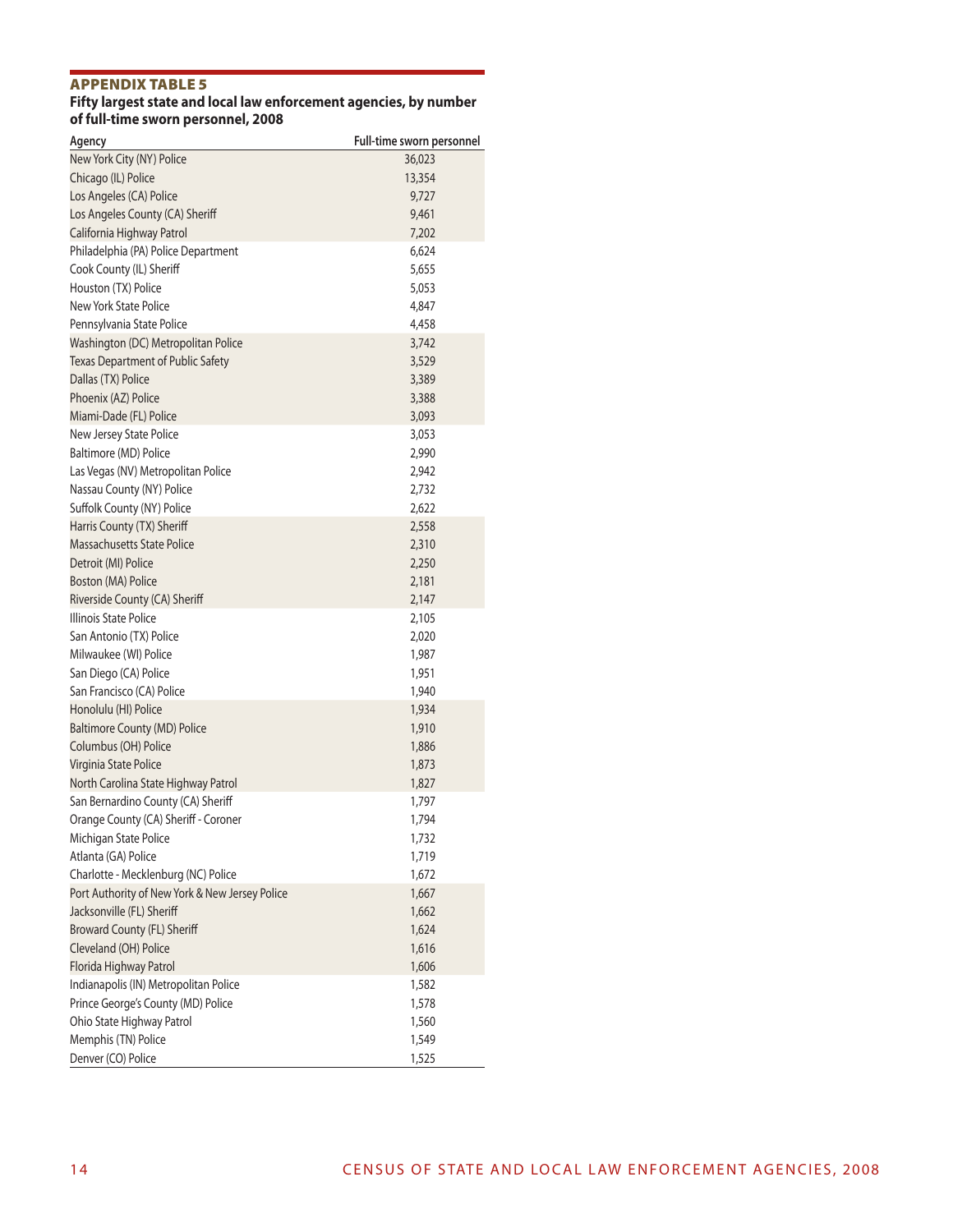#### Appendix Table 5

#### **Fifty largest state and local law enforcement agencies, by number of full-time sworn personnel, 2008**

| Agency                                         | Full-time sworn personnel |
|------------------------------------------------|---------------------------|
| New York City (NY) Police                      | 36,023                    |
| Chicago (IL) Police                            | 13,354                    |
| Los Angeles (CA) Police                        | 9,727                     |
| Los Angeles County (CA) Sheriff                | 9,461                     |
| California Highway Patrol                      | 7,202                     |
| Philadelphia (PA) Police Department            | 6,624                     |
| Cook County (IL) Sheriff                       | 5,655                     |
| Houston (TX) Police                            | 5,053                     |
| New York State Police                          | 4,847                     |
| Pennsylvania State Police                      | 4,458                     |
| Washington (DC) Metropolitan Police            | 3,742                     |
| <b>Texas Department of Public Safety</b>       | 3,529                     |
| Dallas (TX) Police                             | 3,389                     |
| Phoenix (AZ) Police                            | 3,388                     |
| Miami-Dade (FL) Police                         | 3,093                     |
| New Jersey State Police                        | 3,053                     |
| Baltimore (MD) Police                          | 2,990                     |
| Las Vegas (NV) Metropolitan Police             | 2,942                     |
| Nassau County (NY) Police                      | 2,732                     |
| Suffolk County (NY) Police                     | 2,622                     |
| Harris County (TX) Sheriff                     | 2,558                     |
| Massachusetts State Police                     | 2,310                     |
| Detroit (MI) Police                            | 2,250                     |
| Boston (MA) Police                             | 2,181                     |
| Riverside County (CA) Sheriff                  | 2,147                     |
| Illinois State Police                          | 2,105                     |
| San Antonio (TX) Police                        | 2,020                     |
| Milwaukee (WI) Police                          | 1,987                     |
| San Diego (CA) Police                          | 1,951                     |
| San Francisco (CA) Police                      | 1,940                     |
| Honolulu (HI) Police                           | 1,934                     |
| <b>Baltimore County (MD) Police</b>            | 1,910                     |
| Columbus (OH) Police                           | 1,886                     |
| Virginia State Police                          | 1,873                     |
| North Carolina State Highway Patrol            | 1,827                     |
| San Bernardino County (CA) Sheriff             | 1,797                     |
| Orange County (CA) Sheriff - Coroner           | 1,794                     |
| Michigan State Police                          | 1,732                     |
| Atlanta (GA) Police                            | 1,719                     |
| Charlotte - Mecklenburg (NC) Police            | 1,672                     |
| Port Authority of New York & New Jersey Police | 1,667                     |
| Jacksonville (FL) Sheriff                      | 1,662                     |
| Broward County (FL) Sheriff                    | 1,624                     |
| Cleveland (OH) Police                          | 1,616                     |
| Florida Highway Patrol                         | 1,606                     |
| Indianapolis (IN) Metropolitan Police          | 1,582                     |
| Prince George's County (MD) Police             | 1,578                     |
| Ohio State Highway Patrol                      | 1,560                     |
| Memphis (TN) Police                            | 1,549                     |
| Denver (CO) Police                             | 1,525                     |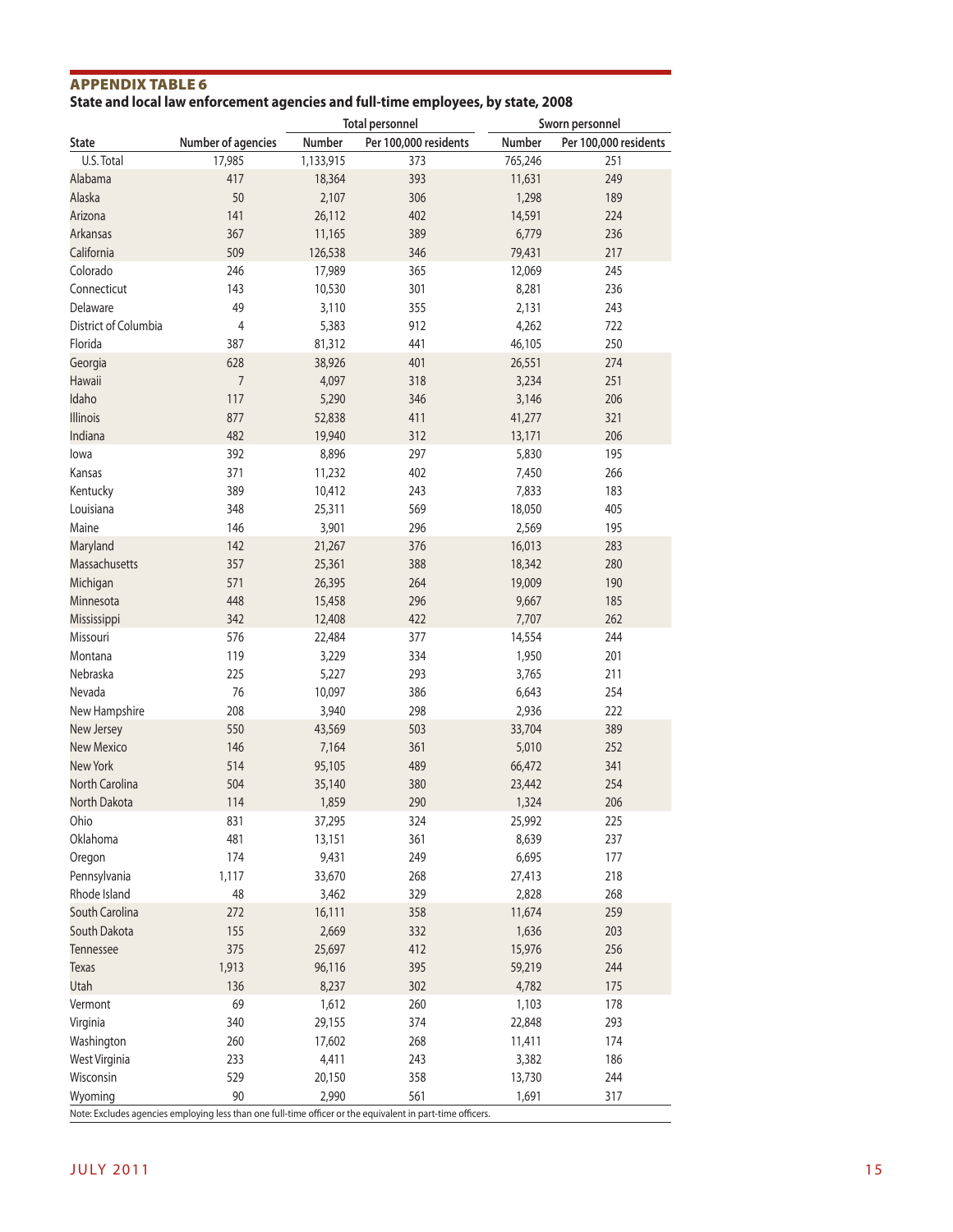# Appendix Table 6

**State and local law enforcement agencies and full-time employees, by state, 2008**

|                      |                    | <b>Total personnel</b> |                                                                                                            |         | Sworn personnel       |
|----------------------|--------------------|------------------------|------------------------------------------------------------------------------------------------------------|---------|-----------------------|
| <b>State</b>         | Number of agencies | Number                 | Per 100,000 residents                                                                                      | Number  | Per 100,000 residents |
| U.S. Total           | 17,985             | 1,133,915              | 373                                                                                                        | 765,246 | 251                   |
| Alabama              | 417                | 18,364                 | 393                                                                                                        | 11,631  | 249                   |
| Alaska               | 50                 | 2,107                  | 306                                                                                                        | 1,298   | 189                   |
| Arizona              | 141                | 26,112                 | 402                                                                                                        | 14,591  | 224                   |
|                      | 367                |                        |                                                                                                            |         |                       |
| <b>Arkansas</b>      |                    | 11,165                 | 389                                                                                                        | 6,779   | 236                   |
| California           | 509                | 126,538                | 346                                                                                                        | 79,431  | 217                   |
| Colorado             | 246                | 17,989                 | 365                                                                                                        | 12,069  | 245                   |
| Connecticut          | 143                | 10,530                 | 301                                                                                                        | 8,281   | 236                   |
| Delaware             | 49                 | 3,110                  | 355                                                                                                        | 2,131   | 243                   |
| District of Columbia | 4                  | 5,383                  | 912                                                                                                        | 4,262   | 722                   |
| Florida              | 387                | 81,312                 | 441                                                                                                        | 46,105  | 250                   |
| Georgia              | 628                | 38,926                 | 401                                                                                                        | 26,551  | 274                   |
| <b>Hawaii</b>        | $\overline{7}$     | 4,097                  | 318                                                                                                        | 3,234   | 251                   |
| Idaho                | 117                | 5,290                  | 346                                                                                                        | 3,146   | 206                   |
| <b>Illinois</b>      | 877                | 52,838                 | 411                                                                                                        | 41,277  | 321                   |
| Indiana              | 482                | 19,940                 | 312                                                                                                        | 13,171  | 206                   |
| lowa                 | 392                | 8,896                  | 297                                                                                                        | 5,830   | 195                   |
| Kansas               | 371                | 11,232                 | 402                                                                                                        | 7,450   | 266                   |
|                      |                    |                        |                                                                                                            |         |                       |
| Kentucky             | 389                | 10,412                 | 243                                                                                                        | 7,833   | 183                   |
| Louisiana            | 348                | 25,311                 | 569                                                                                                        | 18,050  | 405                   |
| Maine                | 146                | 3,901                  | 296                                                                                                        | 2,569   | 195                   |
| Maryland             | 142                | 21,267                 | 376                                                                                                        | 16,013  | 283                   |
| <b>Massachusetts</b> | 357                | 25,361                 | 388                                                                                                        | 18,342  | 280                   |
| Michigan             | 571                | 26,395                 | 264                                                                                                        | 19,009  | 190                   |
| Minnesota            | 448                | 15,458                 | 296                                                                                                        | 9,667   | 185                   |
| Mississippi          | 342                | 12,408                 | 422                                                                                                        | 7,707   | 262                   |
| Missouri             | 576                | 22,484                 | 377                                                                                                        | 14,554  | 244                   |
| Montana              | 119                | 3,229                  | 334                                                                                                        | 1,950   | 201                   |
| Nebraska             | 225                | 5,227                  | 293                                                                                                        | 3,765   | 211                   |
| Nevada               | 76                 | 10,097                 | 386                                                                                                        | 6,643   | 254                   |
| New Hampshire        | 208                | 3,940                  | 298                                                                                                        | 2,936   | 222                   |
| New Jersey           | 550                | 43,569                 | 503                                                                                                        | 33,704  | 389                   |
| <b>New Mexico</b>    | 146                |                        | 361                                                                                                        |         | 252                   |
|                      |                    | 7,164                  |                                                                                                            | 5,010   |                       |
| <b>New York</b>      | 514                | 95,105                 | 489                                                                                                        | 66,472  | 341                   |
| North Carolina       | 504                | 35,140                 | 380                                                                                                        | 23,442  | 254                   |
| North Dakota         | 114                | 1,859                  | 290                                                                                                        | 1,324   | 206                   |
| Ohio                 | 831                | 37,295                 | 324                                                                                                        | 25,992  | 225                   |
| Oklahoma             | 481                | 13,151                 | 361                                                                                                        | 8,639   | 237                   |
| Oregon               | 174                | 9,431                  | 249                                                                                                        | 6,695   | 177                   |
| Pennsylvania         | 1,117              | 33,670                 | 268                                                                                                        | 27,413  | 218                   |
| Rhode Island         | 48                 | 3,462                  | 329                                                                                                        | 2,828   | 268                   |
| South Carolina       | 272                | 16,111                 | 358                                                                                                        | 11,674  | 259                   |
| South Dakota         | 155                | 2,669                  | 332                                                                                                        | 1,636   | 203                   |
| Tennessee            | 375                | 25,697                 | 412                                                                                                        | 15,976  | 256                   |
| <b>Texas</b>         | 1,913              | 96,116                 | 395                                                                                                        | 59,219  | 244                   |
| Utah                 | 136                | 8,237                  | 302                                                                                                        | 4,782   | 175                   |
| Vermont              | 69                 | 1,612                  | 260                                                                                                        | 1,103   | 178                   |
|                      | 340                | 29,155                 | 374                                                                                                        | 22,848  | 293                   |
| Virginia             |                    |                        |                                                                                                            |         |                       |
| Washington           | 260                | 17,602                 | 268                                                                                                        | 11,411  | 174                   |
| West Virginia        | 233                | 4,411                  | 243                                                                                                        | 3,382   | 186                   |
| Wisconsin            | 529                | 20,150                 | 358                                                                                                        | 13,730  | 244                   |
| Wyoming              | 90                 | 2,990                  | 561                                                                                                        | 1,691   | 317                   |
|                      |                    |                        | Note: Excludes agencies employing less than one full-time officer or the equivalent in part-time officers. |         |                       |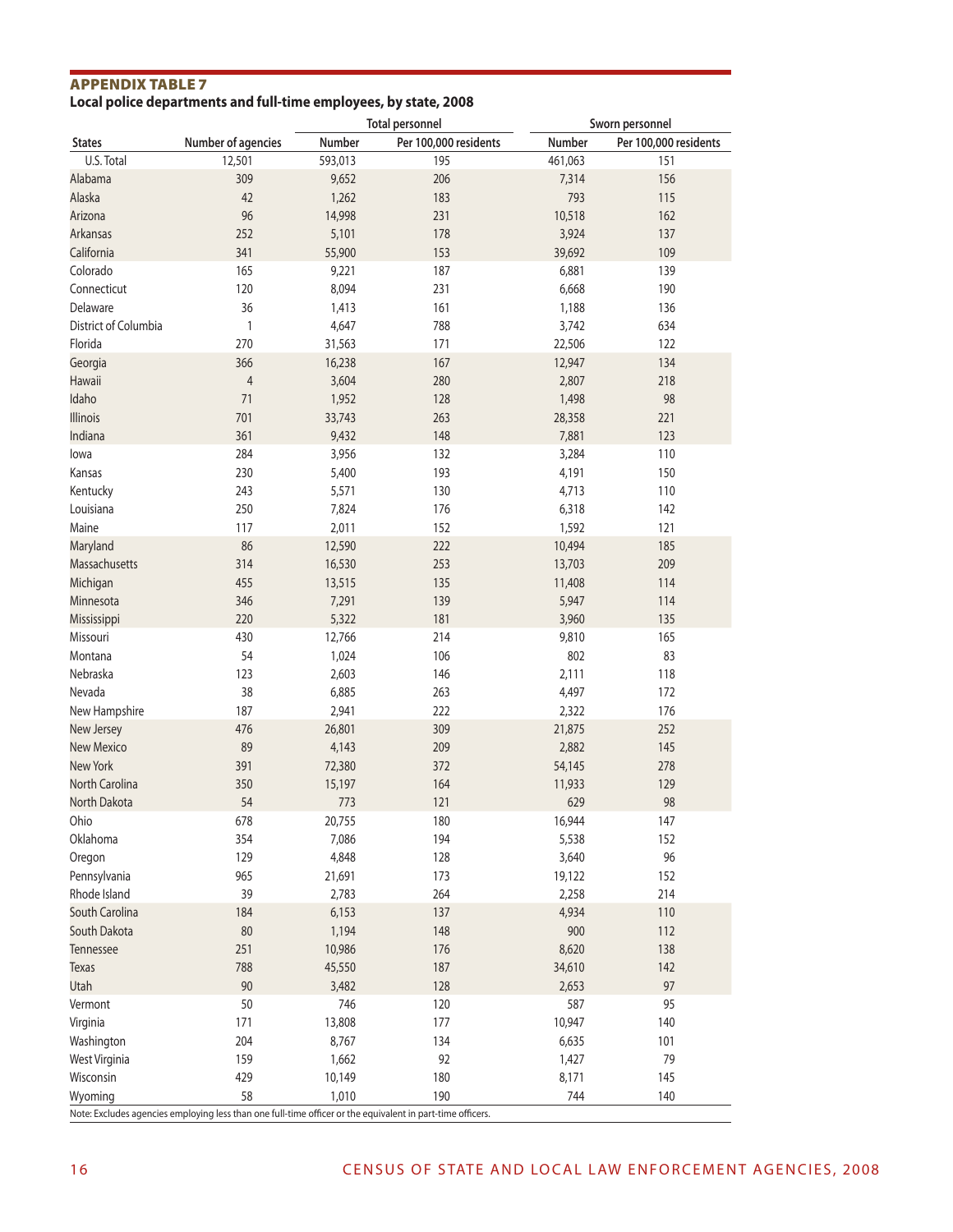#### Appendix Table 7 **Local police departments and full-time employees, by state, 2008**

|                      |                    |         | <b>Total personnel</b> |         | Sworn personnel       |
|----------------------|--------------------|---------|------------------------|---------|-----------------------|
| <b>States</b>        | Number of agencies | Number  | Per 100,000 residents  | Number  | Per 100,000 residents |
| U.S. Total           | 12,501             | 593,013 | 195                    | 461,063 | 151                   |
| Alabama              | 309                | 9,652   | 206                    | 7,314   | 156                   |
| Alaska               | 42                 | 1,262   | 183                    | 793     | 115                   |
| Arizona              | 96                 | 14,998  | 231                    | 10,518  | 162                   |
| <b>Arkansas</b>      | 252                | 5,101   | 178                    | 3,924   | 137                   |
| California           | 341                | 55,900  | 153                    | 39,692  | 109                   |
| Colorado             | 165                | 9,221   | 187                    | 6,881   | 139                   |
| Connecticut          | 120                | 8,094   | 231                    | 6,668   | 190                   |
| Delaware             | 36                 | 1,413   | 161                    | 1,188   | 136                   |
| District of Columbia |                    |         |                        |         |                       |
|                      | $\mathbf{1}$       | 4,647   | 788                    | 3,742   | 634                   |
| Florida              | 270                | 31,563  | 171                    | 22,506  | 122                   |
| Georgia              | 366                | 16,238  | 167                    | 12,947  | 134                   |
| <b>Hawaii</b>        | $\overline{4}$     | 3,604   | 280                    | 2,807   | 218                   |
| Idaho                | 71                 | 1,952   | 128                    | 1,498   | 98                    |
| Illinois             | 701                | 33,743  | 263                    | 28,358  | 221                   |
| Indiana              | 361                | 9,432   | 148                    | 7,881   | 123                   |
| lowa                 | 284                | 3,956   | 132                    | 3,284   | 110                   |
| Kansas               | 230                | 5,400   | 193                    | 4,191   | 150                   |
| Kentucky             | 243                | 5,571   | 130                    | 4,713   | 110                   |
| Louisiana            | 250                | 7,824   | 176                    | 6,318   | 142                   |
| Maine                | 117                | 2,011   | 152                    | 1,592   | 121                   |
| Maryland             | 86                 | 12,590  | 222                    | 10,494  | 185                   |
| Massachusetts        | 314                | 16,530  | 253                    | 13,703  | 209                   |
| Michigan             | 455                | 13,515  | 135                    | 11,408  | 114                   |
| Minnesota            | 346                | 7,291   | 139                    | 5,947   | 114                   |
| Mississippi          | 220                | 5,322   | 181                    | 3,960   | 135                   |
| Missouri             | 430                | 12,766  | 214                    | 9,810   | 165                   |
| Montana              | 54                 | 1,024   | 106                    | 802     | 83                    |
| Nebraska             | 123                | 2,603   | 146                    | 2,111   | 118                   |
| Nevada               | 38                 | 6,885   | 263                    | 4,497   | 172                   |
| New Hampshire        | 187                | 2,941   | 222                    | 2,322   | 176                   |
| New Jersey           | 476                | 26,801  | 309                    | 21,875  | 252                   |
| <b>New Mexico</b>    | 89                 | 4,143   | 209                    | 2,882   | 145                   |
| <b>New York</b>      | 391                | 72,380  | 372                    | 54,145  | 278                   |
| North Carolina       | 350                | 15,197  | 164                    | 11,933  | 129                   |
| North Dakota         | 54                 | 773     | 121                    | 629     | 98                    |
| Ohio                 | 678                | 20,755  | 180                    | 16,944  | 147                   |
| Oklahoma             |                    |         |                        |         |                       |
|                      | 354                | 7,086   | 194                    | 5,538   | 152                   |
| Oregon               | 129                | 4,848   | 128                    | 3,640   | 96                    |
| Pennsylvania         | 965                | 21,691  | 173                    | 19,122  | 152                   |
| Rhode Island         | 39                 | 2,783   | 264                    | 2,258   | 214                   |
| South Carolina       | 184                | 6,153   | 137                    | 4,934   | 110                   |
| South Dakota         | 80                 | 1,194   | 148                    | 900     | 112                   |
| Tennessee            | 251                | 10,986  | 176                    | 8,620   | 138                   |
| <b>Texas</b>         | 788                | 45,550  | 187                    | 34,610  | 142                   |
| Utah                 | 90                 | 3,482   | 128                    | 2,653   | 97                    |
| Vermont              | 50                 | 746     | 120                    | 587     | 95                    |
| Virginia             | 171                | 13,808  | 177                    | 10,947  | 140                   |
| Washington           | 204                | 8,767   | 134                    | 6,635   | 101                   |
| West Virginia        | 159                | 1,662   | 92                     | 1,427   | 79                    |
| Wisconsin            | 429                | 10,149  | 180                    | 8,171   | 145                   |
| Wyoming              | 58                 | 1,010   | 190                    | 744     | 140                   |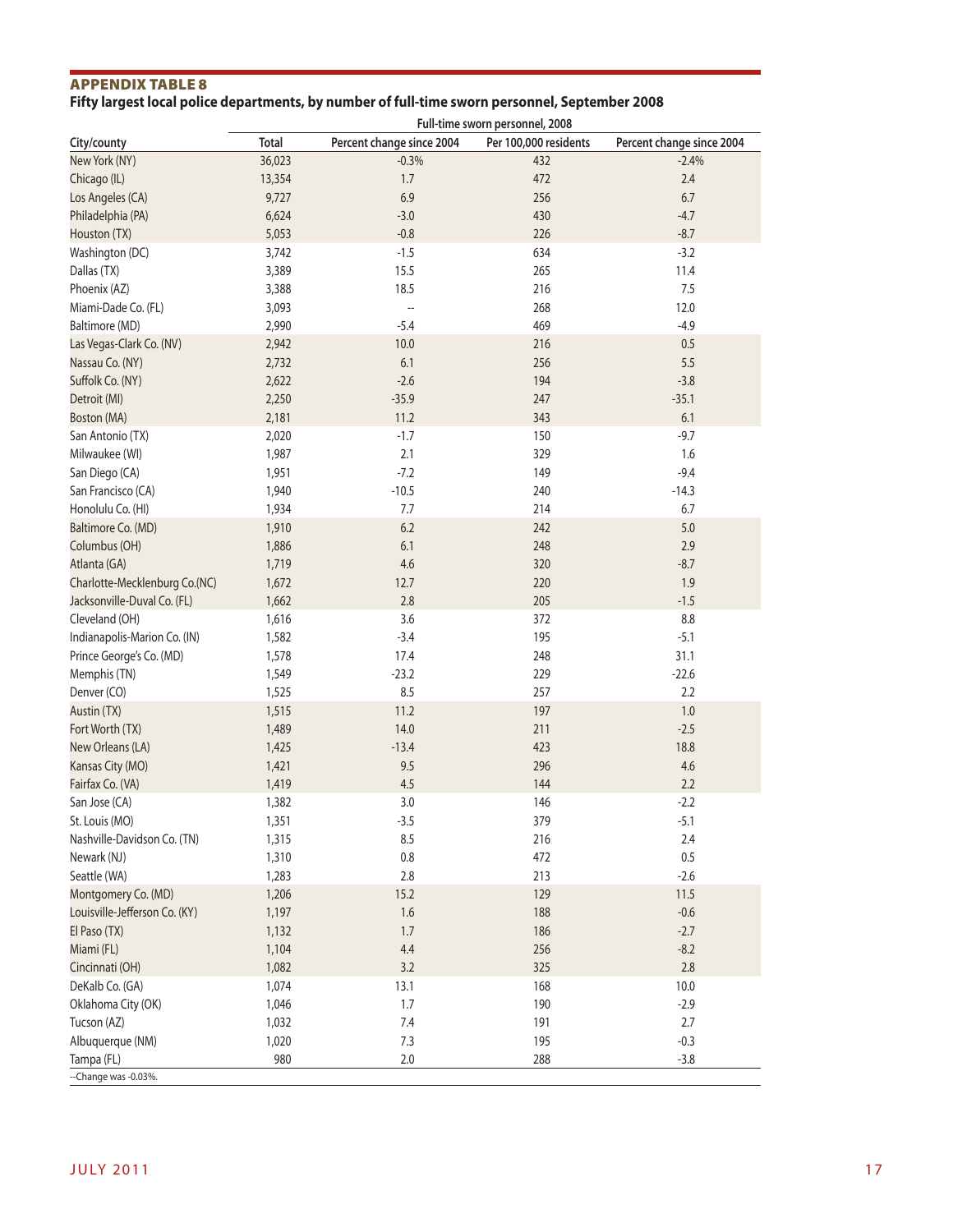# Appendix Table 8

# **Fifty largest local police departments, by number of full-time sworn personnel, September 2008**

|                               | Full-time sworn personnel, 2008 |                           |                       |                           |  |  |
|-------------------------------|---------------------------------|---------------------------|-----------------------|---------------------------|--|--|
| City/county                   | <b>Total</b>                    | Percent change since 2004 | Per 100,000 residents | Percent change since 2004 |  |  |
| New York (NY)                 | 36,023                          | $-0.3%$                   | 432                   | $-2.4%$                   |  |  |
| Chicago (IL)                  | 13,354                          | 1.7                       | 472                   | 2.4                       |  |  |
| Los Angeles (CA)              | 9,727                           | 6.9                       | 256                   | $6.7$                     |  |  |
| Philadelphia (PA)             | 6,624                           | $-3.0$                    | 430                   | $-4.7$                    |  |  |
| Houston (TX)                  | 5,053                           | $-0.8$                    | 226                   | $-8.7$                    |  |  |
| Washington (DC)               | 3,742                           | $-1.5$                    | 634                   | $-3.2$                    |  |  |
| Dallas (TX)                   | 3,389                           | 15.5                      | 265                   | 11.4                      |  |  |
| Phoenix (AZ)                  | 3,388                           | 18.5                      | 216                   | 7.5                       |  |  |
| Miami-Dade Co. (FL)           | 3,093                           | --                        | 268                   | 12.0                      |  |  |
| Baltimore (MD)                | 2,990                           | $-5.4$                    | 469                   | $-4.9$                    |  |  |
| Las Vegas-Clark Co. (NV)      | 2,942                           | 10.0                      | 216                   | $0.5\,$                   |  |  |
| Nassau Co. (NY)               | 2,732                           | 6.1                       | 256                   | 5.5                       |  |  |
| Suffolk Co. (NY)              | 2,622                           | $-2.6$                    | 194                   | $-3.8$                    |  |  |
| Detroit (MI)                  | 2,250                           | $-35.9$                   | 247                   | $-35.1$                   |  |  |
| Boston (MA)                   | 2,181                           | 11.2                      | 343                   | 6.1                       |  |  |
| San Antonio (TX)              | 2,020                           | $-1.7$                    | 150                   | $-9.7$                    |  |  |
| Milwaukee (WI)                | 1,987                           | 2.1                       | 329                   | 1.6                       |  |  |
| San Diego (CA)                | 1,951                           | $-7.2$                    | 149                   | $-9.4$                    |  |  |
| San Francisco (CA)            | 1,940                           | $-10.5$                   | 240                   | $-14.3$                   |  |  |
| Honolulu Co. (HI)             | 1,934                           | $7.7\,$                   | 214                   | 6.7                       |  |  |
| Baltimore Co. (MD)            | 1,910                           | $6.2\,$                   | 242                   | $5.0$                     |  |  |
| Columbus (OH)                 | 1,886                           | 6.1                       | 248                   | 2.9                       |  |  |
| Atlanta (GA)                  | 1,719                           | 4.6                       | 320                   | $-8.7$                    |  |  |
| Charlotte-Mecklenburg Co.(NC) | 1,672                           | 12.7                      | 220                   | 1.9                       |  |  |
| Jacksonville-Duval Co. (FL)   | 1,662                           | 2.8                       | 205                   | $-1.5$                    |  |  |
| Cleveland (OH)                | 1,616                           | 3.6                       | 372                   | 8.8                       |  |  |
| Indianapolis-Marion Co. (IN)  | 1,582                           | $-3.4$                    | 195                   | $-5.1$                    |  |  |
| Prince George's Co. (MD)      | 1,578                           | 17.4                      | 248                   | 31.1                      |  |  |
| Memphis (TN)                  | 1,549                           | $-23.2$                   | 229                   | $-22.6$                   |  |  |
| Denver (CO)                   | 1,525                           | 8.5                       | 257                   | 2.2                       |  |  |
| Austin (TX)                   | 1,515                           | 11.2                      | 197                   | $1.0\,$                   |  |  |
| Fort Worth (TX)               | 1,489                           | 14.0                      | 211                   | $-2.5$                    |  |  |
| New Orleans (LA)              | 1,425                           | $-13.4$                   | 423                   | 18.8                      |  |  |
| Kansas City (MO)              | 1,421                           | 9.5                       | 296                   | 4.6                       |  |  |
| Fairfax Co. (VA)              | 1,419                           | 4.5                       | 144                   | 2.2                       |  |  |
| San Jose (CA)                 | 1,382                           | 3.0                       | 146                   | $-2.2$                    |  |  |
| St. Louis (MO)                | 1,351                           | $-3.5$                    | 379                   | $-5.1$                    |  |  |
| Nashville-Davidson Co. (TN)   | 1,315                           | 8.5                       | 216                   | 2.4                       |  |  |
| Newark (NJ)                   | 1,310                           | 0.8                       | 472                   | $0.5\,$                   |  |  |
| Seattle (WA)                  | 1,283                           | 2.8                       | 213                   | $-2.6$                    |  |  |
| Montgomery Co. (MD)           | 1,206                           | 15.2                      | 129                   | 11.5                      |  |  |
| Louisville-Jefferson Co. (KY) | 1,197                           | 1.6                       | 188                   | $-0.6$                    |  |  |
| El Paso (TX)                  | 1,132                           | 1.7                       | 186                   | $-2.7$                    |  |  |
| Miami (FL)                    | 1,104                           | $4.4\,$                   | 256                   | $-8.2$                    |  |  |
| Cincinnati (OH)               | 1,082                           | 3.2                       | 325                   | $2.8\,$                   |  |  |
| DeKalb Co. (GA)               | 1,074                           | 13.1                      | 168                   | 10.0                      |  |  |
| Oklahoma City (OK)            | 1,046                           | 1.7                       | 190                   | $-2.9$                    |  |  |
| Tucson (AZ)                   | 1,032                           | $7.4$                     | 191                   | 2.7                       |  |  |
| Albuquerque (NM)              | 1,020                           | 7.3                       | 195                   | $-0.3$                    |  |  |
| Tampa (FL)                    | 980                             | 2.0                       | 288                   | $-3.8$                    |  |  |
| --Change was -0.03%.          |                                 |                           |                       |                           |  |  |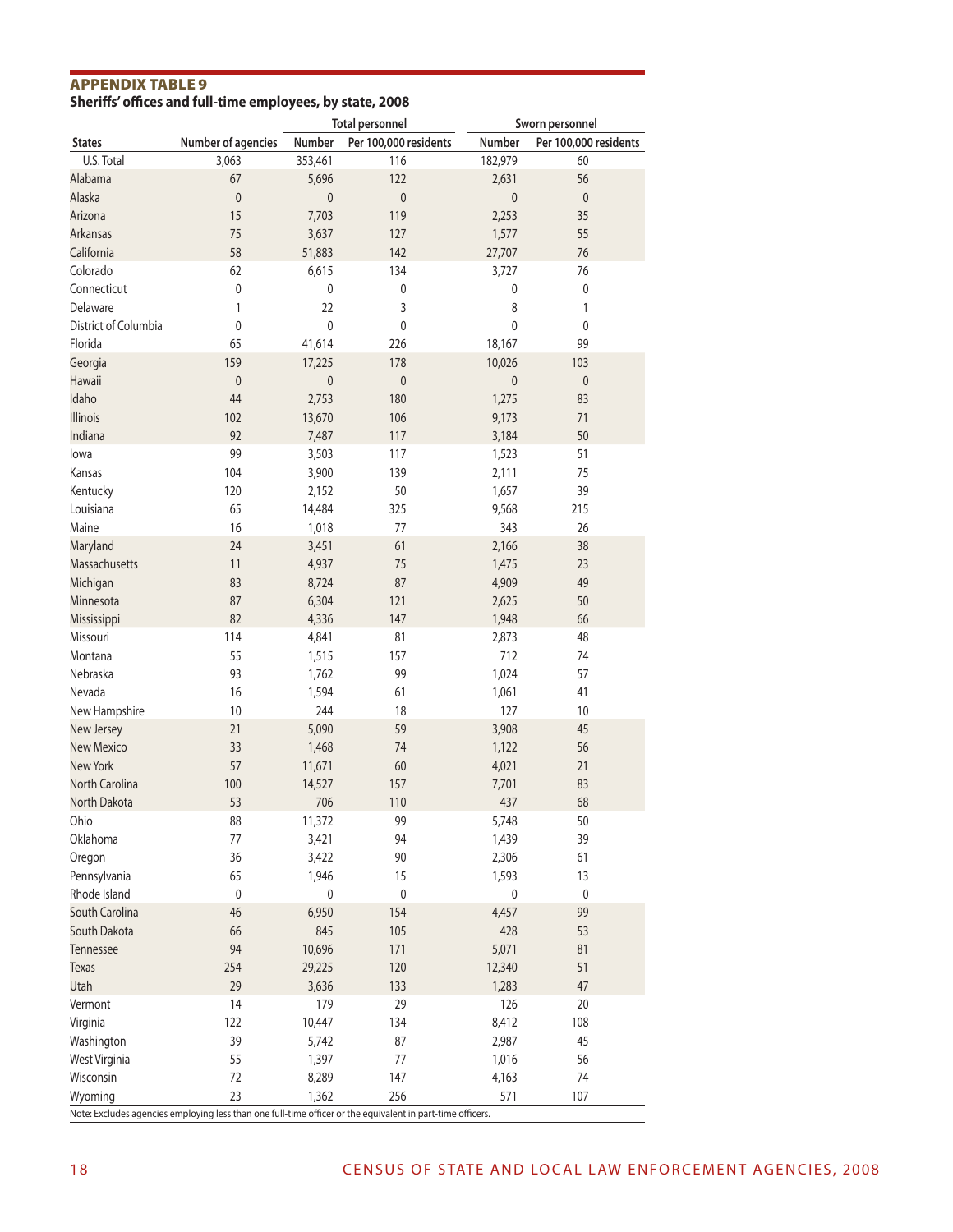#### Appendix Table 9 **Sheriffs' offices and full-time employees, by state, 2008**

|                      |                    |             | <b>Total personnel</b> |             | Sworn personnel       |
|----------------------|--------------------|-------------|------------------------|-------------|-----------------------|
| <b>States</b>        | Number of agencies | Number      | Per 100,000 residents  | Number      | Per 100,000 residents |
| U.S. Total           | 3,063              | 353,461     | 116                    | 182,979     | 60                    |
| Alabama              | 67                 | 5,696       | 122                    | 2,631       | 56                    |
| Alaska               | $\mathbf 0$        | $\mathbf 0$ | $\mathbf{0}$           | 0           | 0                     |
|                      |                    |             |                        |             |                       |
| Arizona              | 15                 | 7,703       | 119                    | 2,253       | 35                    |
| <b>Arkansas</b>      | 75                 | 3,637       | 127                    | 1,577       | 55                    |
| California           | 58                 | 51,883      | 142                    | 27,707      | 76                    |
| Colorado             | 62                 | 6,615       | 134                    | 3,727       | 76                    |
| Connecticut          | $\pmb{0}$          | 0           | $\pmb{0}$              | 0           | 0                     |
| Delaware             | 1                  | 22          | 3                      | 8           | 1                     |
| District of Columbia | $\pmb{0}$          | 0           | $\mathbf 0$            | 0           | 0                     |
| Florida              | 65                 | 41,614      | 226                    | 18,167      | 99                    |
| Georgia              | 159                | 17,225      | 178                    | 10,026      | 103                   |
| <b>Hawaii</b>        | $\pmb{0}$          | $\mathbf 0$ | $\pmb{0}$              | $\mathbf 0$ | 0                     |
|                      |                    |             |                        |             |                       |
| Idaho                | 44                 | 2,753       | 180                    | 1,275       | 83                    |
| Illinois             | 102                | 13,670      | 106                    | 9,173       | 71                    |
| Indiana              | 92                 | 7,487       | 117                    | 3,184       | 50                    |
| lowa                 | 99                 | 3,503       | 117                    | 1,523       | 51                    |
| Kansas               | 104                | 3,900       | 139                    | 2,111       | 75                    |
| Kentucky             | 120                | 2,152       | 50                     | 1,657       | 39                    |
| Louisiana            | 65                 | 14,484      | 325                    | 9,568       | 215                   |
|                      |                    |             |                        |             |                       |
| Maine                | 16                 | 1,018       | 77                     | 343         | 26                    |
| Maryland             | 24                 | 3,451       | 61                     | 2,166       | 38                    |
| Massachusetts        | 11                 | 4,937       | 75                     | 1,475       | 23                    |
| Michigan             | 83                 | 8,724       | 87                     | 4,909       | 49                    |
| Minnesota            | 87                 | 6,304       | 121                    | 2,625       | 50                    |
| Mississippi          | 82                 | 4,336       | 147                    | 1,948       | 66                    |
| Missouri             | 114                | 4,841       | 81                     | 2,873       | 48                    |
| Montana              | 55                 | 1,515       | 157                    | 712         | 74                    |
| Nebraska             | 93                 |             | 99                     | 1,024       | 57                    |
|                      |                    | 1,762       |                        |             |                       |
| Nevada               | 16                 | 1,594       | 61                     | 1,061       | 41                    |
| New Hampshire        | 10                 | 244         | 18                     | 127         | 10                    |
| New Jersey           | 21                 | 5,090       | 59                     | 3,908       | 45                    |
| <b>New Mexico</b>    | 33                 | 1,468       | 74                     | 1,122       | 56                    |
| <b>New York</b>      | 57                 | 11,671      | 60                     | 4,021       | 21                    |
| North Carolina       | 100                | 14,527      | 157                    | 7,701       | 83                    |
| North Dakota         | 53                 | 706         | 110                    | 437         | 68                    |
| Ohio                 | 88                 | 11,372      | 99                     | 5,748       | 50                    |
| Oklahoma             | $77 \,$            | 3,421       | 94                     | 1,439       | 39                    |
|                      | 36                 |             | 90                     |             | 61                    |
| Oregon               |                    | 3,422       |                        | 2,306       |                       |
| Pennsylvania         | 65                 | 1,946       | 15                     | 1,593       | 13                    |
| Rhode Island         | $\pmb{0}$          | $\pmb{0}$   | $\pmb{0}$              | $\pmb{0}$   | $\pmb{0}$             |
| South Carolina       | 46                 | 6,950       | 154                    | 4,457       | 99                    |
| South Dakota         | 66                 | 845         | 105                    | 428         | 53                    |
| Tennessee            | 94                 | 10,696      | 171                    | 5,071       | 81                    |
| <b>Texas</b>         | 254                | 29,225      | 120                    | 12,340      | 51                    |
| Utah                 | 29                 | 3,636       | 133                    | 1,283       | 47                    |
| Vermont              | 14                 | 179         | 29                     | 126         | 20                    |
|                      |                    |             |                        |             |                       |
| Virginia             | 122                | 10,447      | 134                    | 8,412       | 108                   |
| Washington           | 39                 | 5,742       | 87                     | 2,987       | 45                    |
| West Virginia        | 55                 | 1,397       | 77                     | 1,016       | 56                    |
| Wisconsin            | 72                 | 8,289       | 147                    | 4,163       | 74                    |
| Wyoming              | 23                 | 1,362       | 256                    | 571         | 107                   |

Note: Excludes agencies employing less than one full-time officer or the equivalent in part-time officers.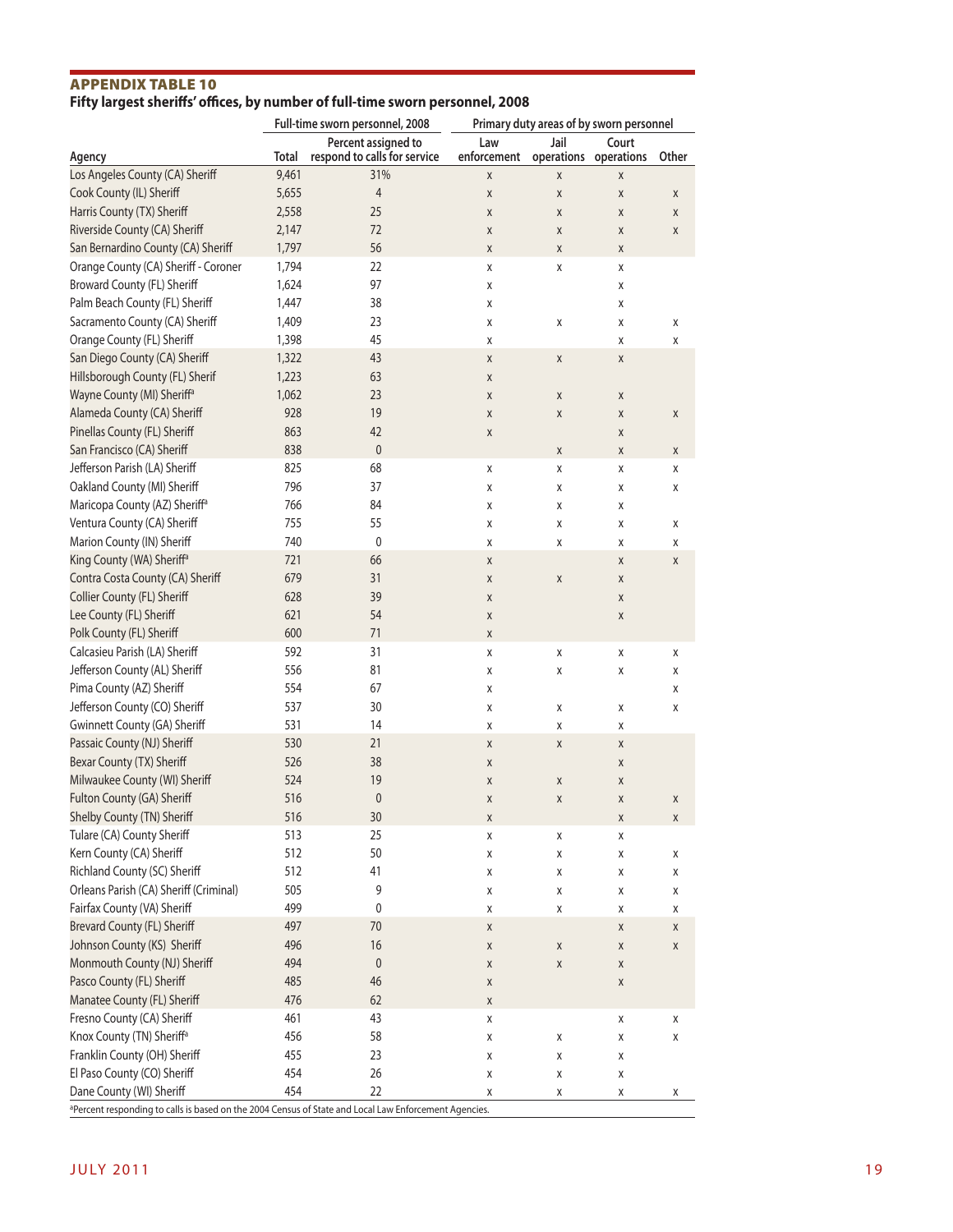#### Appendix Table 10 **Fifty largest sheriffs' offices, by number of full-time sworn personnel, 2008**

|                                                                                                                                   | Full-time sworn personnel, 2008 |                                                     | Primary duty areas of by sworn personnel |                               |        |       |
|-----------------------------------------------------------------------------------------------------------------------------------|---------------------------------|-----------------------------------------------------|------------------------------------------|-------------------------------|--------|-------|
| Agency                                                                                                                            | <b>Total</b>                    | Percent assigned to<br>respond to calls for service | Law<br>enforcement                       | Jail<br>operations operations | Court  | Other |
| Los Angeles County (CA) Sheriff                                                                                                   | 9,461                           | 31%                                                 | Χ                                        | X                             | Χ      |       |
| Cook County (IL) Sheriff                                                                                                          | 5,655                           | $\overline{4}$                                      | X                                        | X                             | X      | X     |
| Harris County (TX) Sheriff                                                                                                        | 2,558                           | 25                                                  | X                                        | X                             | X      | X     |
| Riverside County (CA) Sheriff                                                                                                     | 2,147                           | 72                                                  | X                                        | X                             | X      | X     |
| San Bernardino County (CA) Sheriff                                                                                                | 1,797                           | 56                                                  | Χ                                        | Χ                             | X      |       |
| Orange County (CA) Sheriff - Coroner                                                                                              | 1,794                           | 22                                                  | X                                        | Χ                             | X      |       |
| Broward County (FL) Sheriff                                                                                                       | 1,624                           | 97                                                  | X                                        |                               | X      |       |
| Palm Beach County (FL) Sheriff                                                                                                    | 1,447                           | 38                                                  | X                                        |                               | X      |       |
| Sacramento County (CA) Sheriff                                                                                                    | 1,409                           | 23                                                  | X                                        | Χ                             | X      | X     |
| Orange County (FL) Sheriff                                                                                                        | 1,398                           | 45                                                  | X                                        |                               | X      | X     |
| San Diego County (CA) Sheriff                                                                                                     | 1,322                           | 43                                                  | Χ                                        | Χ                             | Χ      |       |
| Hillsborough County (FL) Sherif                                                                                                   | 1,223                           | 63                                                  | Χ                                        |                               |        |       |
| Wayne County (MI) Sheriff <sup>a</sup>                                                                                            | 1,062                           | 23                                                  | X                                        | Χ                             | X      |       |
| Alameda County (CA) Sheriff                                                                                                       | 928                             | 19                                                  | Χ                                        | Χ                             | X      | X     |
| Pinellas County (FL) Sheriff                                                                                                      | 863                             | 42                                                  | X                                        |                               | X      |       |
| San Francisco (CA) Sheriff                                                                                                        | 838                             | $\pmb{0}$                                           |                                          | X                             | X      | X     |
| Jefferson Parish (LA) Sheriff                                                                                                     | 825                             | 68                                                  | X                                        | Χ                             | X      | X     |
| Oakland County (MI) Sheriff                                                                                                       | 796                             | 37                                                  | X                                        | Χ                             | X      | X     |
| Maricopa County (AZ) Sheriff <sup>a</sup>                                                                                         | 766                             | 84                                                  | X                                        | Χ                             | X      |       |
| Ventura County (CA) Sheriff                                                                                                       | 755                             | 55                                                  | X                                        | Χ                             | X      | X     |
| Marion County (IN) Sheriff                                                                                                        | 740                             | $\mathbf 0$                                         | X                                        | Χ                             | X      | X     |
| King County (WA) Sheriff <sup>a</sup>                                                                                             | 721                             | 66                                                  | Χ                                        |                               | X      | X     |
| Contra Costa County (CA) Sheriff                                                                                                  | 679                             | 31                                                  | Χ                                        | $\pmb{\chi}$                  | X      |       |
| Collier County (FL) Sheriff                                                                                                       | 628                             | 39                                                  | X                                        |                               | X      |       |
| Lee County (FL) Sheriff                                                                                                           | 621                             | 54                                                  | Χ                                        |                               | X      |       |
| Polk County (FL) Sheriff                                                                                                          | 600                             | 71                                                  | Χ                                        |                               |        |       |
| Calcasieu Parish (LA) Sheriff                                                                                                     | 592                             | 31                                                  | Χ                                        | Χ                             | X      | X     |
| Jefferson County (AL) Sheriff                                                                                                     | 556                             | 81                                                  | X                                        | Χ                             | X      | X     |
| Pima County (AZ) Sheriff                                                                                                          | 554                             | 67                                                  | X                                        |                               |        | X     |
| Jefferson County (CO) Sheriff                                                                                                     | 537                             | 30                                                  | X                                        | Χ                             | X      | X     |
| Gwinnett County (GA) Sheriff                                                                                                      | 531                             | 14                                                  | Χ                                        | Χ                             | X      |       |
| Passaic County (NJ) Sheriff                                                                                                       | 530                             | 21                                                  | X                                        | X                             | X      |       |
| Bexar County (TX) Sheriff                                                                                                         | 526                             | 38                                                  | X                                        |                               | X      |       |
| Milwaukee County (WI) Sheriff                                                                                                     | 524                             | 19                                                  | X                                        | Χ                             | X      |       |
| Fulton County (GA) Sheriff                                                                                                        | 516                             | $\mathbf{0}$                                        | X                                        | X                             | X      | X     |
| Shelby County (TN) Sheriff                                                                                                        | 516                             | 30                                                  | X                                        |                               | X      | X     |
| Tulare (CA) County Sheriff                                                                                                        | 513                             | 25                                                  | Χ                                        | Χ                             | X      |       |
| Kern County (CA) Sheriff                                                                                                          | 512                             | 50                                                  | Χ                                        | Χ                             | Χ      | Х     |
| Richland County (SC) Sheriff                                                                                                      | 512                             | 41                                                  | Χ                                        | Χ                             | Χ      | Χ     |
| Orleans Parish (CA) Sheriff (Criminal)                                                                                            | 505                             | 9                                                   | Χ                                        |                               |        |       |
| Fairfax County (VA) Sheriff                                                                                                       | 499                             | 0                                                   | X                                        | Χ<br>Χ                        | Χ<br>X | Χ     |
| Brevard County (FL) Sheriff                                                                                                       | 497                             | 70                                                  |                                          |                               |        | Χ     |
| Johnson County (KS) Sheriff                                                                                                       | 496                             | 16                                                  | Χ                                        |                               | Χ      | Χ     |
| Monmouth County (NJ) Sheriff                                                                                                      | 494                             |                                                     | Χ                                        | Χ                             | Χ      | Χ     |
| Pasco County (FL) Sheriff                                                                                                         | 485                             | $\boldsymbol{0}$<br>46                              | Χ                                        | Χ                             | Χ      |       |
|                                                                                                                                   |                                 |                                                     | Χ                                        |                               | Χ      |       |
| Manatee County (FL) Sheriff                                                                                                       | 476                             | 62                                                  | Χ                                        |                               |        |       |
| Fresno County (CA) Sheriff                                                                                                        | 461                             | 43                                                  | Χ                                        |                               | X      | Χ     |
| Knox County (TN) Sheriff <sup>a</sup>                                                                                             | 456                             | 58                                                  | X                                        | Χ                             | X      | X     |
| Franklin County (OH) Sheriff                                                                                                      | 455                             | 23                                                  | X                                        | Χ                             | X      |       |
| El Paso County (CO) Sheriff                                                                                                       | 454                             | 26                                                  | X                                        | Χ                             | Χ      |       |
| Dane County (WI) Sheriff<br>aPercent responding to calls is based on the 2004 Census of State and Local Law Enforcement Agencies. | 454                             | 22                                                  | X                                        | Χ                             | Χ      | Χ     |